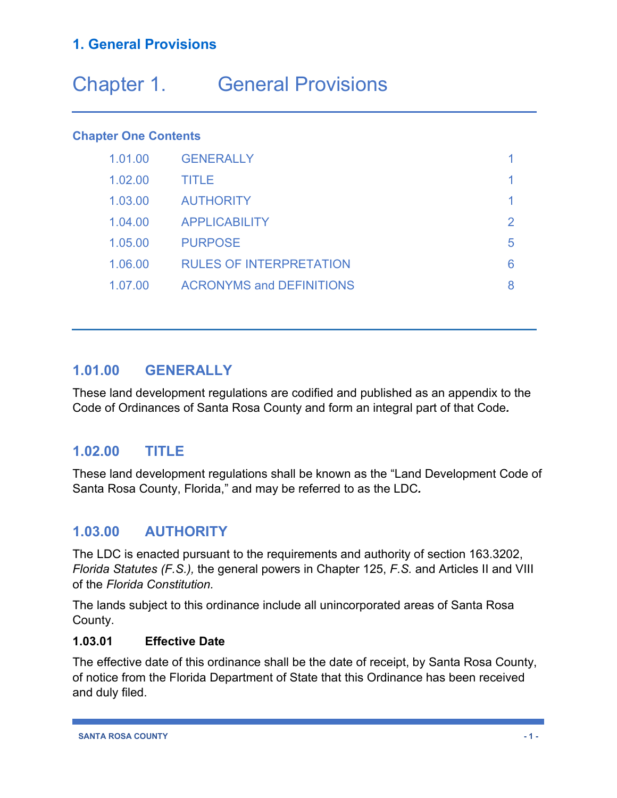# Chapter 1. General Provisions

#### **Chapter One Contents**

| 1.01.00 | <b>GENERALLY</b>                |   |
|---------|---------------------------------|---|
| 1.02.00 | TITLE                           |   |
| 1.03.00 | <b>AUTHORITY</b>                |   |
| 1.04.00 | <b>APPLICABILITY</b>            |   |
| 1.05.00 | <b>PURPOSE</b>                  | 5 |
| 1.06.00 | <b>RULES OF INTERPRETATION</b>  | 6 |
| 1.07.00 | <b>ACRONYMS and DEFINITIONS</b> |   |

# **1.01.00 GENERALLY**

These land development regulations are codified and published as an appendix to the Code of Ordinances of Santa Rosa County and form an integral part of that Code*.*

# **1.02.00 TITLE**

These land development regulations shall be known as the "Land Development Code of Santa Rosa County, Florida," and may be referred to as the LDC*.*

# **1.03.00 AUTHORITY**

The LDC is enacted pursuant to the requirements and authority of section 163.3202, *Florida Statutes (F.S.),* the general powers in Chapter 125, *F.S.* and Articles II and VIII of the *Florida Constitution.*

The lands subject to this ordinance include all unincorporated areas of Santa Rosa County.

#### **1.03.01 Effective Date**

The effective date of this ordinance shall be the date of receipt, by Santa Rosa County, of notice from the Florida Department of State that this Ordinance has been received and duly filed.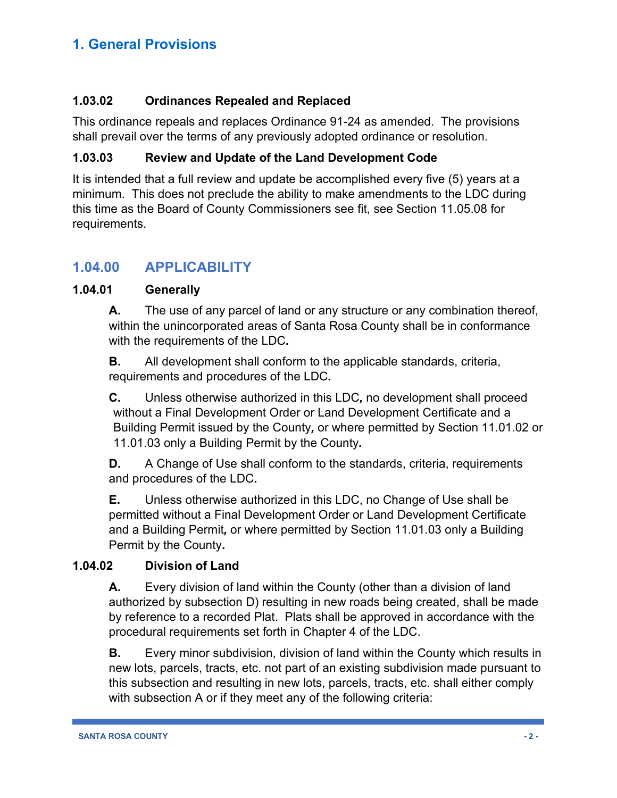#### **1.03.02 Ordinances Repealed and Replaced**

This ordinance repeals and replaces Ordinance 91-24 as amended. The provisions shall prevail over the terms of any previously adopted ordinance or resolution.

#### **1.03.03 Review and Update of the Land Development Code**

It is intended that a full review and update be accomplished every five (5) years at a minimum. This does not preclude the ability to make amendments to the LDC during this time as the Board of County Commissioners see fit, see Section 11.05.08 for requirements.

# **1.04.00 APPLICABILITY**

#### **1.04.01 Generally**

**A.** The use of any parcel of land or any structure or any combination thereof, within the unincorporated areas of Santa Rosa County shall be in conformance with the requirements of the LDC*.*

**B.** All development shall conform to the applicable standards, criteria, requirements and procedures of the LDC*.*

**C.** Unless otherwise authorized in this LDC*,* no development shall proceed without a Final Development Order or Land Development Certificate and a Building Permit issued by the County*,* or where permitted by Section 11.01.02 or 11.01.03 only a Building Permit by the County*.*

**D.** A Change of Use shall conform to the standards, criteria, requirements and procedures of the LDC*.*

**E.** Unless otherwise authorized in this LDC, no Change of Use shall be permitted without a Final Development Order or Land Development Certificate and a Building Permit*,* or where permitted by Section 11.01.03 only a Building Permit by the County**.**

#### **1.04.02 Division of Land**

**A.** Every division of land within the County (other than a division of land authorized by subsection D) resulting in new roads being created, shall be made by reference to a recorded Plat. Plats shall be approved in accordance with the procedural requirements set forth in Chapter 4 of the LDC.

**B.** Every minor subdivision, division of land within the County which results in new lots, parcels, tracts, etc. not part of an existing subdivision made pursuant to this subsection and resulting in new lots, parcels, tracts, etc. shall either comply with subsection A or if they meet any of the following criteria: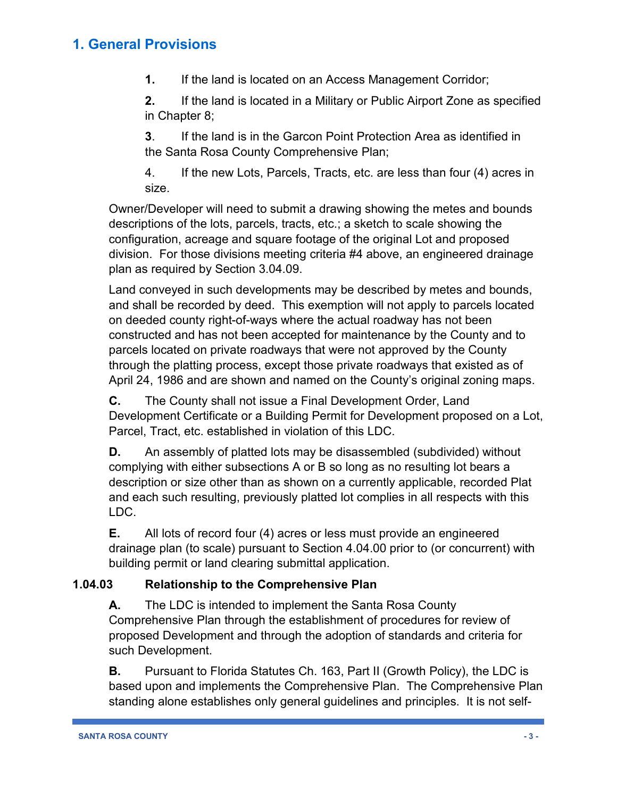**1.** If the land is located on an Access Management Corridor;

**2.** If the land is located in a Military or Public Airport Zone as specified in Chapter 8;

**3**. If the land is in the Garcon Point Protection Area as identified in the Santa Rosa County Comprehensive Plan;

4. If the new Lots, Parcels, Tracts, etc. are less than four (4) acres in size.

Owner/Developer will need to submit a drawing showing the metes and bounds descriptions of the lots, parcels, tracts, etc.; a sketch to scale showing the configuration, acreage and square footage of the original Lot and proposed division. For those divisions meeting criteria #4 above, an engineered drainage plan as required by Section 3.04.09.

Land conveyed in such developments may be described by metes and bounds, and shall be recorded by deed. This exemption will not apply to parcels located on deeded county right-of-ways where the actual roadway has not been constructed and has not been accepted for maintenance by the County and to parcels located on private roadways that were not approved by the County through the platting process, except those private roadways that existed as of April 24, 1986 and are shown and named on the County's original zoning maps.

**C.** The County shall not issue a Final Development Order, Land Development Certificate or a Building Permit for Development proposed on a Lot, Parcel, Tract, etc. established in violation of this LDC.

**D.** An assembly of platted lots may be disassembled (subdivided) without complying with either subsections A or B so long as no resulting lot bears a description or size other than as shown on a currently applicable, recorded Plat and each such resulting, previously platted lot complies in all respects with this LDC.

**E.** All lots of record four (4) acres or less must provide an engineered drainage plan (to scale) pursuant to Section 4.04.00 prior to (or concurrent) with building permit or land clearing submittal application.

#### **1.04.03 Relationship to the Comprehensive Plan**

**A.** The LDC is intended to implement the Santa Rosa County Comprehensive Plan through the establishment of procedures for review of proposed Development and through the adoption of standards and criteria for such Development.

**B.** Pursuant to Florida Statutes Ch. 163, Part II (Growth Policy), the LDC is based upon and implements the Comprehensive Plan. The Comprehensive Plan standing alone establishes only general guidelines and principles. It is not self-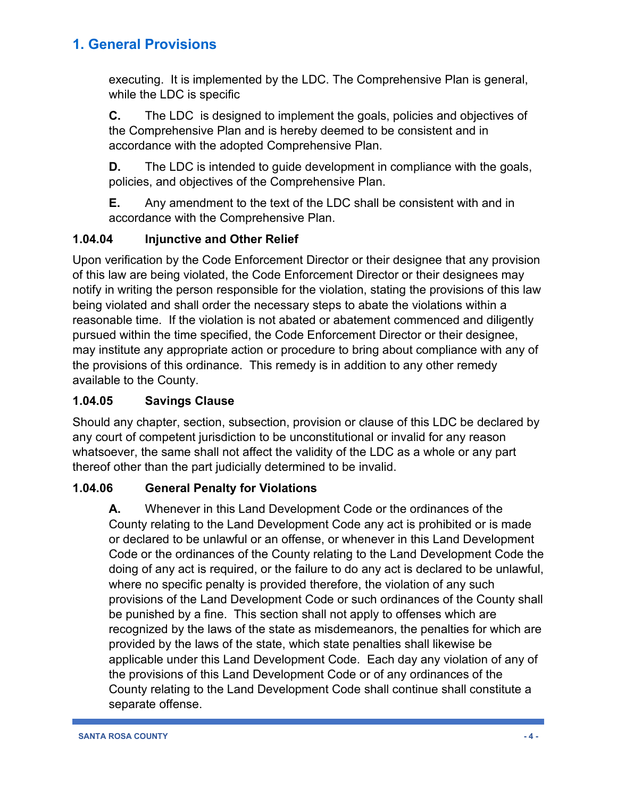executing. It is implemented by the LDC. The Comprehensive Plan is general, while the LDC is specific

**C.** The LDC is designed to implement the goals, policies and objectives of the Comprehensive Plan and is hereby deemed to be consistent and in accordance with the adopted Comprehensive Plan.

**D.** The LDC is intended to guide development in compliance with the goals, policies, and objectives of the Comprehensive Plan.

**E.** Any amendment to the text of the LDC shall be consistent with and in accordance with the Comprehensive Plan.

#### **1.04.04 Injunctive and Other Relief**

Upon verification by the Code Enforcement Director or their designee that any provision of this law are being violated, the Code Enforcement Director or their designees may notify in writing the person responsible for the violation, stating the provisions of this law being violated and shall order the necessary steps to abate the violations within a reasonable time. If the violation is not abated or abatement commenced and diligently pursued within the time specified, the Code Enforcement Director or their designee, may institute any appropriate action or procedure to bring about compliance with any of the provisions of this ordinance. This remedy is in addition to any other remedy available to the County.

### **1.04.05 Savings Clause**

Should any chapter, section, subsection, provision or clause of this LDC be declared by any court of competent jurisdiction to be unconstitutional or invalid for any reason whatsoever, the same shall not affect the validity of the LDC as a whole or any part thereof other than the part judicially determined to be invalid.

# **1.04.06 General Penalty for Violations**

**A.** Whenever in this Land Development Code or the ordinances of the County relating to the Land Development Code any act is prohibited or is made or declared to be unlawful or an offense, or whenever in this Land Development Code or the ordinances of the County relating to the Land Development Code the doing of any act is required, or the failure to do any act is declared to be unlawful, where no specific penalty is provided therefore, the violation of any such provisions of the Land Development Code or such ordinances of the County shall be punished by a fine. This section shall not apply to offenses which are recognized by the laws of the state as misdemeanors, the penalties for which are provided by the laws of the state, which state penalties shall likewise be applicable under this Land Development Code. Each day any violation of any of the provisions of this Land Development Code or of any ordinances of the County relating to the Land Development Code shall continue shall constitute a separate offense.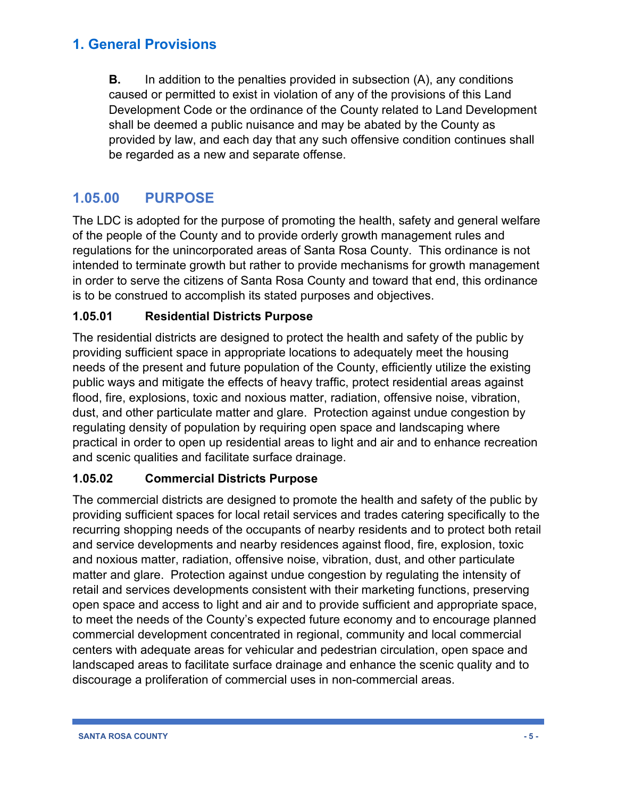**B.** In addition to the penalties provided in subsection (A), any conditions caused or permitted to exist in violation of any of the provisions of this Land Development Code or the ordinance of the County related to Land Development shall be deemed a public nuisance and may be abated by the County as provided by law, and each day that any such offensive condition continues shall be regarded as a new and separate offense.

# **1.05.00 PURPOSE**

The LDC is adopted for the purpose of promoting the health, safety and general welfare of the people of the County and to provide orderly growth management rules and regulations for the unincorporated areas of Santa Rosa County. This ordinance is not intended to terminate growth but rather to provide mechanisms for growth management in order to serve the citizens of Santa Rosa County and toward that end, this ordinance is to be construed to accomplish its stated purposes and objectives.

#### **1.05.01 Residential Districts Purpose**

The residential districts are designed to protect the health and safety of the public by providing sufficient space in appropriate locations to adequately meet the housing needs of the present and future population of the County, efficiently utilize the existing public ways and mitigate the effects of heavy traffic, protect residential areas against flood, fire, explosions, toxic and noxious matter, radiation, offensive noise, vibration, dust, and other particulate matter and glare. Protection against undue congestion by regulating density of population by requiring open space and landscaping where practical in order to open up residential areas to light and air and to enhance recreation and scenic qualities and facilitate surface drainage.

### **1.05.02 Commercial Districts Purpose**

The commercial districts are designed to promote the health and safety of the public by providing sufficient spaces for local retail services and trades catering specifically to the recurring shopping needs of the occupants of nearby residents and to protect both retail and service developments and nearby residences against flood, fire, explosion, toxic and noxious matter, radiation, offensive noise, vibration, dust, and other particulate matter and glare. Protection against undue congestion by regulating the intensity of retail and services developments consistent with their marketing functions, preserving open space and access to light and air and to provide sufficient and appropriate space, to meet the needs of the County's expected future economy and to encourage planned commercial development concentrated in regional, community and local commercial centers with adequate areas for vehicular and pedestrian circulation, open space and landscaped areas to facilitate surface drainage and enhance the scenic quality and to discourage a proliferation of commercial uses in non-commercial areas.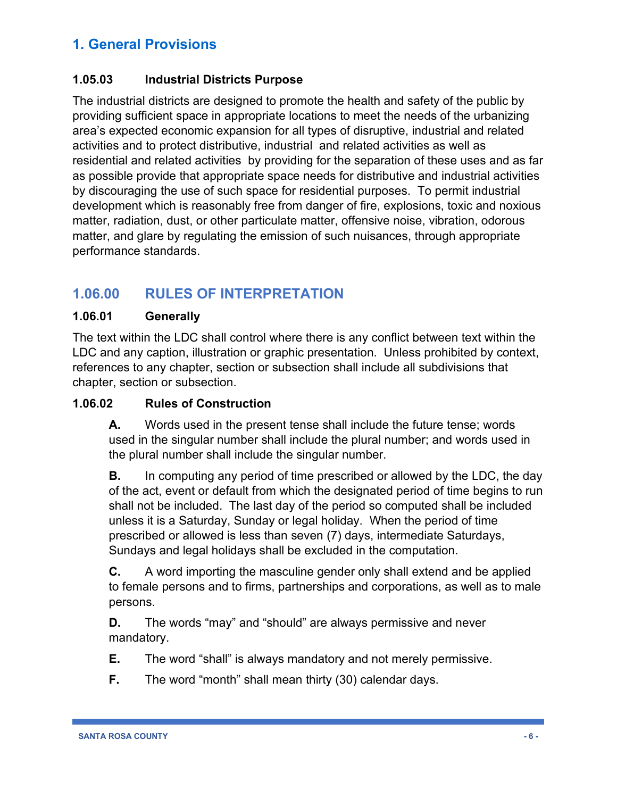#### **1.05.03 Industrial Districts Purpose**

The industrial districts are designed to promote the health and safety of the public by providing sufficient space in appropriate locations to meet the needs of the urbanizing area's expected economic expansion for all types of disruptive, industrial and related activities and to protect distributive, industrial and related activities as well as residential and related activities by providing for the separation of these uses and as far as possible provide that appropriate space needs for distributive and industrial activities by discouraging the use of such space for residential purposes. To permit industrial development which is reasonably free from danger of fire, explosions, toxic and noxious matter, radiation, dust, or other particulate matter, offensive noise, vibration, odorous matter, and glare by regulating the emission of such nuisances, through appropriate performance standards.

# **1.06.00 RULES OF INTERPRETATION**

#### **1.06.01 Generally**

The text within the LDC shall control where there is any conflict between text within the LDC and any caption, illustration or graphic presentation. Unless prohibited by context, references to any chapter, section or subsection shall include all subdivisions that chapter, section or subsection.

#### **1.06.02 Rules of Construction**

**A.** Words used in the present tense shall include the future tense; words used in the singular number shall include the plural number; and words used in the plural number shall include the singular number.

**B.** In computing any period of time prescribed or allowed by the LDC, the day of the act, event or default from which the designated period of time begins to run shall not be included. The last day of the period so computed shall be included unless it is a Saturday, Sunday or legal holiday. When the period of time prescribed or allowed is less than seven (7) days, intermediate Saturdays, Sundays and legal holidays shall be excluded in the computation.

**C.** A word importing the masculine gender only shall extend and be applied to female persons and to firms, partnerships and corporations, as well as to male persons.

**D.** The words "may" and "should" are always permissive and never mandatory.

**E.** The word "shall" is always mandatory and not merely permissive.

**F.** The word "month" shall mean thirty (30) calendar days.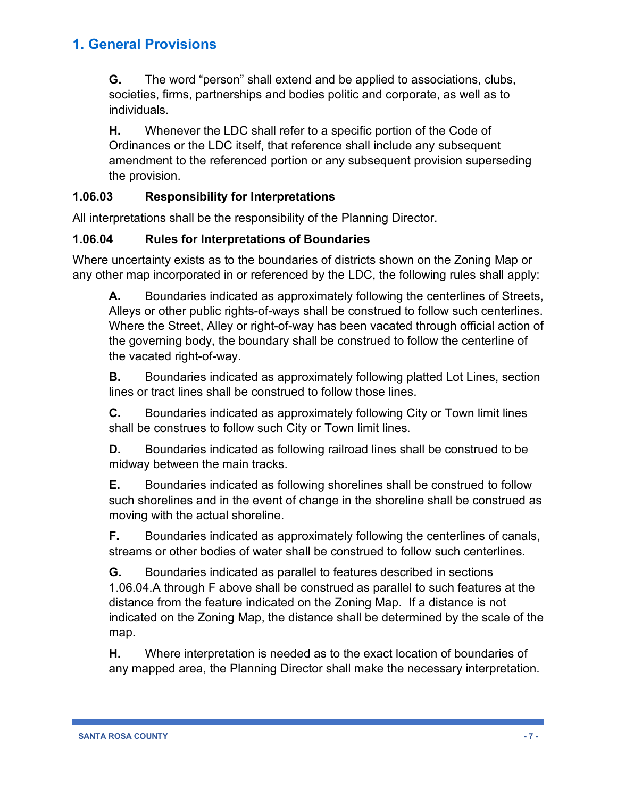**G.** The word "person" shall extend and be applied to associations, clubs, societies, firms, partnerships and bodies politic and corporate, as well as to individuals.

**H.** Whenever the LDC shall refer to a specific portion of the Code of Ordinances or the LDC itself, that reference shall include any subsequent amendment to the referenced portion or any subsequent provision superseding the provision.

#### **1.06.03 Responsibility for Interpretations**

All interpretations shall be the responsibility of the Planning Director.

#### **1.06.04 Rules for Interpretations of Boundaries**

Where uncertainty exists as to the boundaries of districts shown on the Zoning Map or any other map incorporated in or referenced by the LDC, the following rules shall apply:

**A.** Boundaries indicated as approximately following the centerlines of Streets, Alleys or other public rights-of-ways shall be construed to follow such centerlines. Where the Street, Alley or right-of-way has been vacated through official action of the governing body, the boundary shall be construed to follow the centerline of the vacated right-of-way.

**B.** Boundaries indicated as approximately following platted Lot Lines, section lines or tract lines shall be construed to follow those lines.

**C.** Boundaries indicated as approximately following City or Town limit lines shall be construes to follow such City or Town limit lines.

**D.** Boundaries indicated as following railroad lines shall be construed to be midway between the main tracks.

**E.** Boundaries indicated as following shorelines shall be construed to follow such shorelines and in the event of change in the shoreline shall be construed as moving with the actual shoreline.

**F.** Boundaries indicated as approximately following the centerlines of canals, streams or other bodies of water shall be construed to follow such centerlines.

**G.** Boundaries indicated as parallel to features described in sections 1.06.04.A through F above shall be construed as parallel to such features at the distance from the feature indicated on the Zoning Map. If a distance is not indicated on the Zoning Map, the distance shall be determined by the scale of the map.

**H.** Where interpretation is needed as to the exact location of boundaries of any mapped area, the Planning Director shall make the necessary interpretation.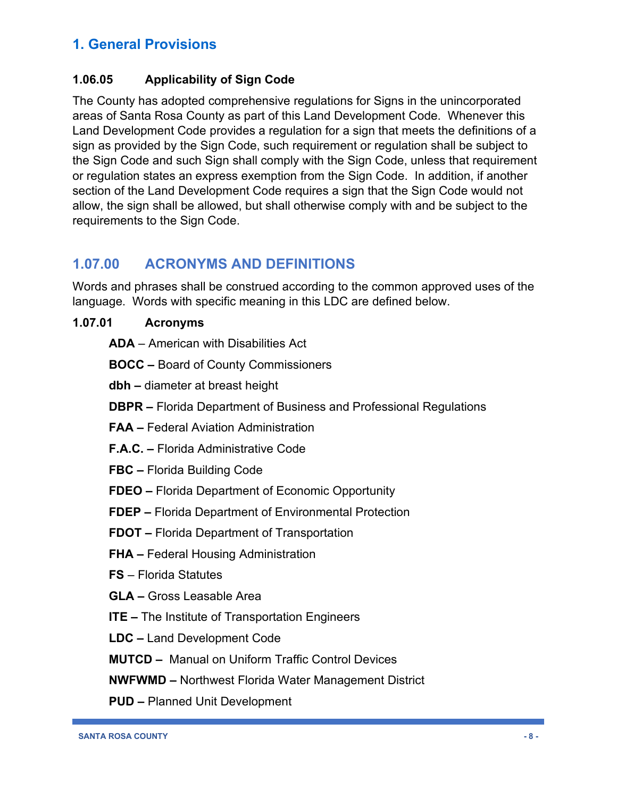#### **1.06.05 Applicability of Sign Code**

The County has adopted comprehensive regulations for Signs in the unincorporated areas of Santa Rosa County as part of this Land Development Code. Whenever this Land Development Code provides a regulation for a sign that meets the definitions of a sign as provided by the Sign Code, such requirement or regulation shall be subject to the Sign Code and such Sign shall comply with the Sign Code, unless that requirement or regulation states an express exemption from the Sign Code. In addition, if another section of the Land Development Code requires a sign that the Sign Code would not allow, the sign shall be allowed, but shall otherwise comply with and be subject to the requirements to the Sign Code.

# **1.07.00 ACRONYMS AND DEFINITIONS**

Words and phrases shall be construed according to the common approved uses of the language. Words with specific meaning in this LDC are defined below.

#### **1.07.01 Acronyms**

**ADA** – American with Disabilities Act

**BOCC –** Board of County Commissioners

**dbh –** diameter at breast height

- **DBPR –** Florida Department of Business and Professional Regulations
- **FAA –** Federal Aviation Administration
- **F.A.C. –** Florida Administrative Code
- **FBC –** Florida Building Code
- **FDEO –** Florida Department of Economic Opportunity
- **FDEP –** Florida Department of Environmental Protection
- **FDOT –** Florida Department of Transportation
- **FHA –** Federal Housing Administration
- **FS** Florida Statutes
- **GLA –** Gross Leasable Area
- **ITE –** The Institute of Transportation Engineers
- **LDC –** Land Development Code
- **MUTCD** Manual on Uniform Traffic Control Devices

**NWFWMD –** Northwest Florida Water Management District

**PUD –** Planned Unit Development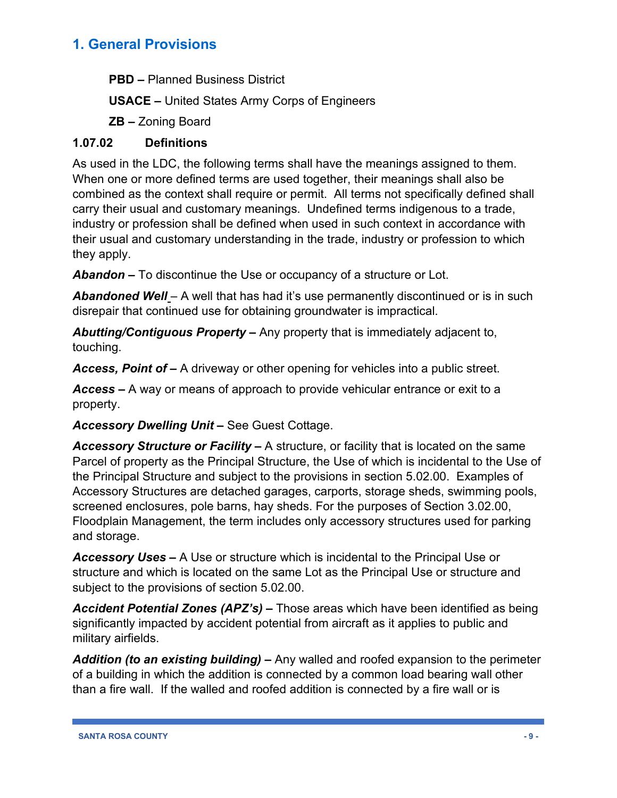**PBD –** Planned Business District

**USACE –** United States Army Corps of Engineers

**ZB –** Zoning Board

#### **1.07.02 Definitions**

As used in the LDC, the following terms shall have the meanings assigned to them. When one or more defined terms are used together, their meanings shall also be combined as the context shall require or permit. All terms not specifically defined shall carry their usual and customary meanings. Undefined terms indigenous to a trade, industry or profession shall be defined when used in such context in accordance with their usual and customary understanding in the trade, industry or profession to which they apply.

*Abandon –* To discontinue the Use or occupancy of a structure or Lot.

*Abandoned Well –* A well that has had it's use permanently discontinued or is in such disrepair that continued use for obtaining groundwater is impractical.

*Abutting/Contiguous Property –* Any property that is immediately adjacent to, touching.

*Access, Point of –* A driveway or other opening for vehicles into a public street.

*Access –* A way or means of approach to provide vehicular entrance or exit to a property.

*Accessory Dwelling Unit –* See Guest Cottage.

*Accessory Structure or Facility –* A structure, or facility that is located on the same Parcel of property as the Principal Structure, the Use of which is incidental to the Use of the Principal Structure and subject to the provisions in section 5.02.00. Examples of Accessory Structures are detached garages, carports, storage sheds, swimming pools, screened enclosures, pole barns, hay sheds. For the purposes of Section 3.02.00, Floodplain Management, the term includes only accessory structures used for parking and storage.

*Accessory Uses –* A Use or structure which is incidental to the Principal Use or structure and which is located on the same Lot as the Principal Use or structure and subject to the provisions of section 5.02.00.

*Accident Potential Zones (APZ's) –* Those areas which have been identified as being significantly impacted by accident potential from aircraft as it applies to public and military airfields.

*Addition (to an existing building) –* Any walled and roofed expansion to the perimeter of a building in which the addition is connected by a common load bearing wall other than a fire wall. If the walled and roofed addition is connected by a fire wall or is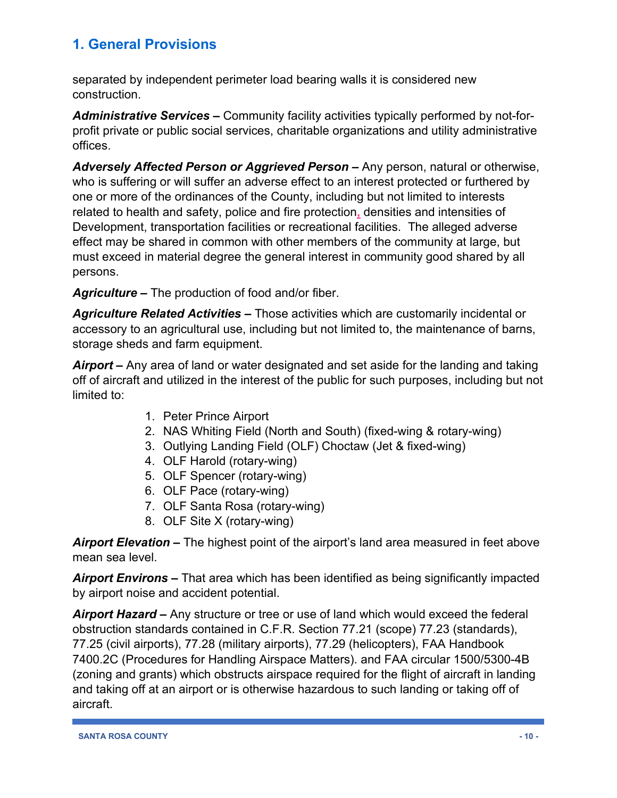separated by independent perimeter load bearing walls it is considered new construction.

*Administrative Services –* Community facility activities typically performed by not-forprofit private or public social services, charitable organizations and utility administrative offices.

*Adversely Affected Person or Aggrieved Person –* Any person, natural or otherwise, who is suffering or will suffer an adverse effect to an interest protected or furthered by one or more of the ordinances of the County, including but not limited to interests related to health and safety, police and fire protection**,** densities and intensities of Development, transportation facilities or recreational facilities. The alleged adverse effect may be shared in common with other members of the community at large, but must exceed in material degree the general interest in community good shared by all persons.

*Agriculture –* The production of food and/or fiber.

*Agriculture Related Activities –* Those activities which are customarily incidental or accessory to an agricultural use, including but not limited to, the maintenance of barns, storage sheds and farm equipment.

*Airport –* Any area of land or water designated and set aside for the landing and taking off of aircraft and utilized in the interest of the public for such purposes, including but not limited to:

- 1. Peter Prince Airport
- 2. NAS Whiting Field (North and South) (fixed-wing & rotary-wing)
- 3. Outlying Landing Field (OLF) Choctaw (Jet & fixed-wing)
- 4. OLF Harold (rotary-wing)
- 5. OLF Spencer (rotary-wing)
- 6. OLF Pace (rotary-wing)
- 7. OLF Santa Rosa (rotary-wing)
- 8. OLF Site X (rotary-wing)

*Airport Elevation –* The highest point of the airport's land area measured in feet above mean sea level.

*Airport Environs –* That area which has been identified as being significantly impacted by airport noise and accident potential.

*Airport Hazard –* Any structure or tree or use of land which would exceed the federal obstruction standards contained in C.F.R. Section 77.21 (scope) 77.23 (standards), 77.25 (civil airports), 77.28 (military airports), 77.29 (helicopters), FAA Handbook 7400.2C (Procedures for Handling Airspace Matters). and FAA circular 1500/5300-4B (zoning and grants) which obstructs airspace required for the flight of aircraft in landing and taking off at an airport or is otherwise hazardous to such landing or taking off of aircraft.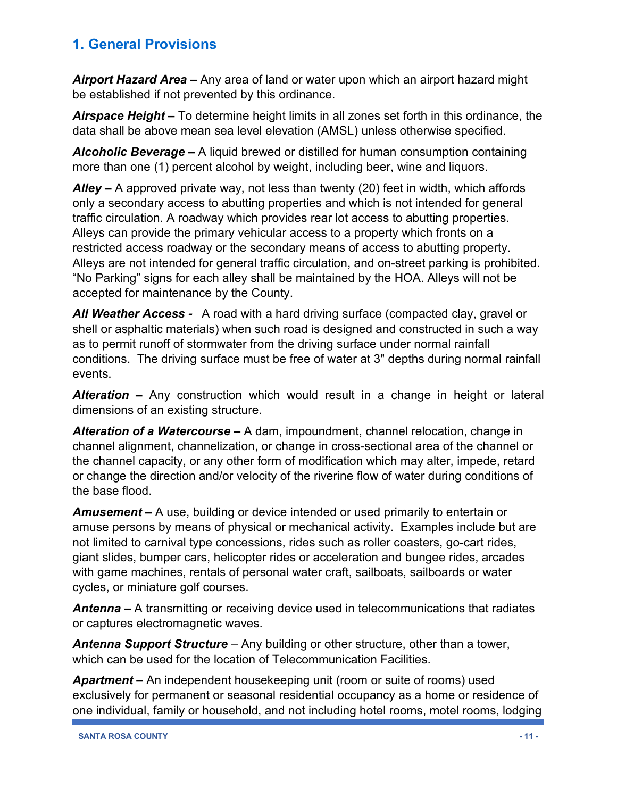*Airport Hazard Area –* Any area of land or water upon which an airport hazard might be established if not prevented by this ordinance.

*Airspace Height –* To determine height limits in all zones set forth in this ordinance, the data shall be above mean sea level elevation (AMSL) unless otherwise specified.

*Alcoholic Beverage –* A liquid brewed or distilled for human consumption containing more than one (1) percent alcohol by weight, including beer, wine and liquors.

*Alley –* A approved private way, not less than twenty (20) feet in width, which affords only a secondary access to abutting properties and which is not intended for general traffic circulation. A roadway which provides rear lot access to abutting properties. Alleys can provide the primary vehicular access to a property which fronts on a restricted access roadway or the secondary means of access to abutting property. Alleys are not intended for general traffic circulation, and on-street parking is prohibited. "No Parking" signs for each alley shall be maintained by the HOA. Alleys will not be accepted for maintenance by the County.

*All Weather Access -* A road with a hard driving surface (compacted clay, gravel or shell or asphaltic materials) when such road is designed and constructed in such a way as to permit runoff of stormwater from the driving surface under normal rainfall conditions. The driving surface must be free of water at 3" depths during normal rainfall events.

*Alteration –* Any construction which would result in a change in height or lateral dimensions of an existing structure.

*Alteration of a Watercourse –* A dam, impoundment, channel relocation, change in channel alignment, channelization, or change in cross-sectional area of the channel or the channel capacity, or any other form of modification which may alter, impede, retard or change the direction and/or velocity of the riverine flow of water during conditions of the base flood.

*Amusement –* A use, building or device intended or used primarily to entertain or amuse persons by means of physical or mechanical activity. Examples include but are not limited to carnival type concessions, rides such as roller coasters, go-cart rides, giant slides, bumper cars, helicopter rides or acceleration and bungee rides, arcades with game machines, rentals of personal water craft, sailboats, sailboards or water cycles, or miniature golf courses.

*Antenna –* A transmitting or receiving device used in telecommunications that radiates or captures electromagnetic waves.

*Antenna Support Structure* – Any building or other structure, other than a tower, which can be used for the location of Telecommunication Facilities.

*Apartment –* An independent housekeeping unit (room or suite of rooms) used exclusively for permanent or seasonal residential occupancy as a home or residence of one individual, family or household, and not including hotel rooms, motel rooms, lodging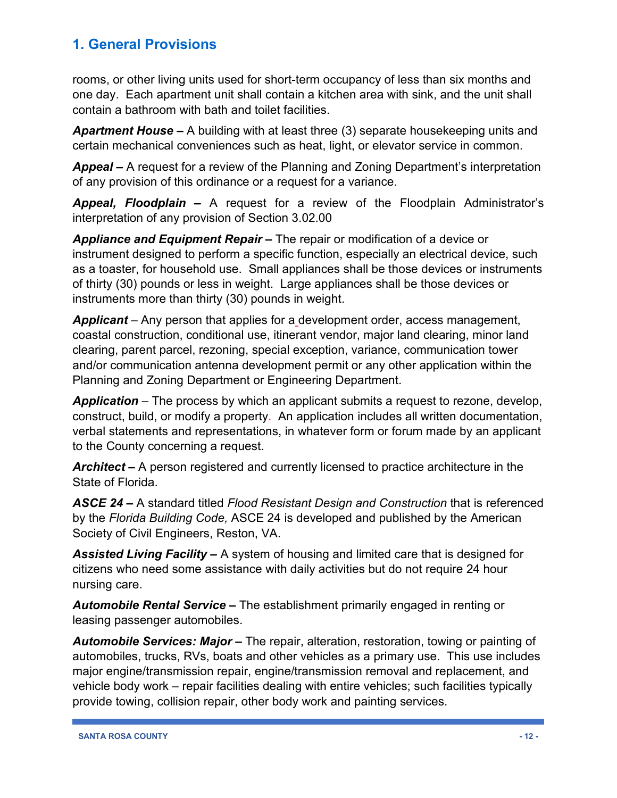rooms, or other living units used for short-term occupancy of less than six months and one day. Each apartment unit shall contain a kitchen area with sink, and the unit shall contain a bathroom with bath and toilet facilities.

*Apartment House –* A building with at least three (3) separate housekeeping units and certain mechanical conveniences such as heat, light, or elevator service in common.

*Appeal –* A request for a review of the Planning and Zoning Department's interpretation of any provision of this ordinance or a request for a variance.

*Appeal, Floodplain –* A request for a review of the Floodplain Administrator's interpretation of any provision of Section 3.02.00

*Appliance and Equipment Repair –* The repair or modification of a device or instrument designed to perform a specific function, especially an electrical device, such as a toaster, for household use. Small appliances shall be those devices or instruments of thirty (30) pounds or less in weight. Large appliances shall be those devices or instruments more than thirty (30) pounds in weight.

*Applicant* – Any person that applies for a development order, access management, coastal construction, conditional use, itinerant vendor, major land clearing, minor land clearing, parent parcel, rezoning, special exception, variance, communication tower and/or communication antenna development permit or any other application within the Planning and Zoning Department or Engineering Department.

*Application* – The process by which an applicant submits a request to rezone, develop, construct, build, or modify a property. An application includes all written documentation, verbal statements and representations, in whatever form or forum made by an applicant to the County concerning a request.

*Architect –* A person registered and currently licensed to practice architecture in the State of Florida.

*ASCE 24 –* A standard titled *Flood Resistant Design and Construction* that is referenced by the *Florida Building Code,* ASCE 24 is developed and published by the American Society of Civil Engineers, Reston, VA.

*Assisted Living Facility –* A system of housing and limited care that is designed for citizens who need some assistance with daily activities but do not require 24 hour nursing care.

*Automobile Rental Service –* The establishment primarily engaged in renting or leasing passenger automobiles.

*Automobile Services: Major –* The repair, alteration, restoration, towing or painting of automobiles, trucks, RVs, boats and other vehicles as a primary use. This use includes major engine/transmission repair, engine/transmission removal and replacement, and vehicle body work – repair facilities dealing with entire vehicles; such facilities typically provide towing, collision repair, other body work and painting services.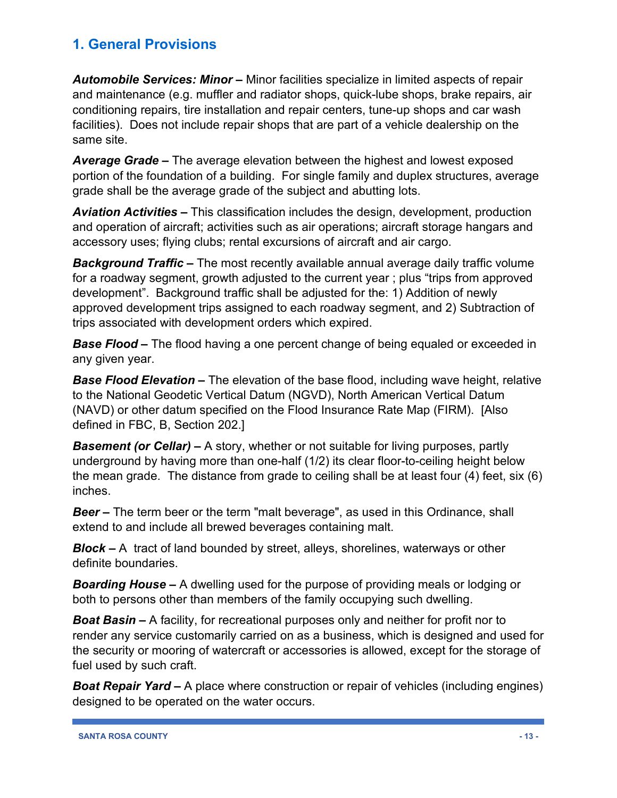*Automobile Services: Minor –* Minor facilities specialize in limited aspects of repair and maintenance (e.g. muffler and radiator shops, quick-lube shops, brake repairs, air conditioning repairs, tire installation and repair centers, tune-up shops and car wash facilities). Does not include repair shops that are part of a vehicle dealership on the same site.

*Average Grade –* The average elevation between the highest and lowest exposed portion of the foundation of a building. For single family and duplex structures, average grade shall be the average grade of the subject and abutting lots.

*Aviation Activities –* This classification includes the design, development, production and operation of aircraft; activities such as air operations; aircraft storage hangars and accessory uses; flying clubs; rental excursions of aircraft and air cargo.

*Background Traffic –* The most recently available annual average daily traffic volume for a roadway segment, growth adjusted to the current year ; plus "trips from approved development". Background traffic shall be adjusted for the: 1) Addition of newly approved development trips assigned to each roadway segment, and 2) Subtraction of trips associated with development orders which expired.

*Base Flood –* The flood having a one percent change of being equaled or exceeded in any given year.

*Base Flood Elevation –* The elevation of the base flood, including wave height, relative to the National Geodetic Vertical Datum (NGVD), North American Vertical Datum (NAVD) or other datum specified on the Flood Insurance Rate Map (FIRM). [Also defined in FBC, B, Section 202.]

*Basement (or Cellar) –* A story, whether or not suitable for living purposes, partly underground by having more than one-half (1/2) its clear floor-to-ceiling height below the mean grade. The distance from grade to ceiling shall be at least four (4) feet, six (6) inches.

*Beer –* The term beer or the term "malt beverage", as used in this Ordinance, shall extend to and include all brewed beverages containing malt.

*Block –* A tract of land bounded by street, alleys, shorelines, waterways or other definite boundaries.

*Boarding House –* A dwelling used for the purpose of providing meals or lodging or both to persons other than members of the family occupying such dwelling.

*Boat Basin –* A facility, for recreational purposes only and neither for profit nor to render any service customarily carried on as a business, which is designed and used for the security or mooring of watercraft or accessories is allowed, except for the storage of fuel used by such craft.

*Boat Repair Yard –* A place where construction or repair of vehicles (including engines) designed to be operated on the water occurs.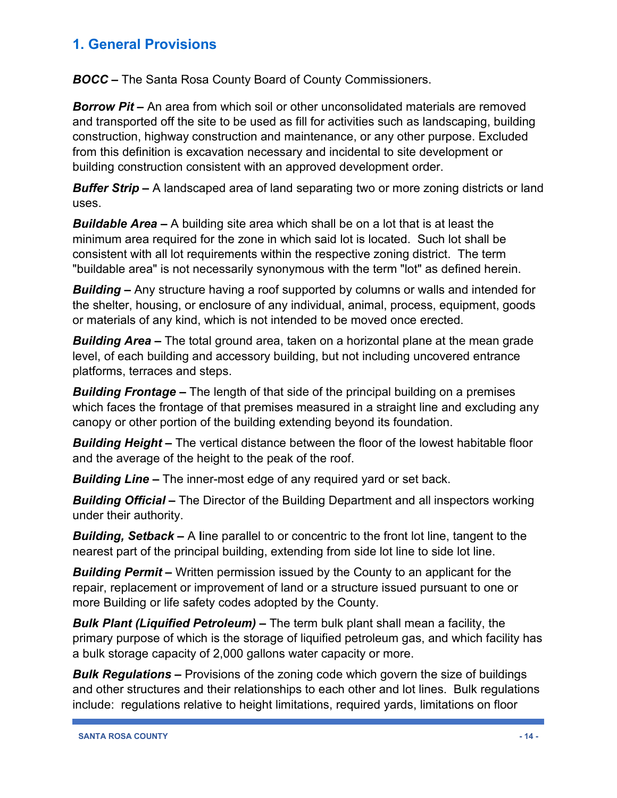*BOCC –* The Santa Rosa County Board of County Commissioners.

*Borrow Pit –* An area from which soil or other unconsolidated materials are removed and transported off the site to be used as fill for activities such as landscaping, building construction, highway construction and maintenance, or any other purpose. Excluded from this definition is excavation necessary and incidental to site development or building construction consistent with an approved development order.

*Buffer Strip –* A landscaped area of land separating two or more zoning districts or land uses.

*Buildable Area –* A building site area which shall be on a lot that is at least the minimum area required for the zone in which said lot is located. Such lot shall be consistent with all lot requirements within the respective zoning district. The term "buildable area" is not necessarily synonymous with the term "lot" as defined herein.

*Building –* Any structure having a roof supported by columns or walls and intended for the shelter, housing, or enclosure of any individual, animal, process, equipment, goods or materials of any kind, which is not intended to be moved once erected.

*Building Area –* The total ground area, taken on a horizontal plane at the mean grade level, of each building and accessory building, but not including uncovered entrance platforms, terraces and steps.

*Building Frontage –* The length of that side of the principal building on a premises which faces the frontage of that premises measured in a straight line and excluding any canopy or other portion of the building extending beyond its foundation.

*Building Height –* The vertical distance between the floor of the lowest habitable floor and the average of the height to the peak of the roof.

*Building Line –* The inner-most edge of any required yard or set back.

*Building Official –* The Director of the Building Department and all inspectors working under their authority.

*Building, Setback –* A **l**ine parallel to or concentric to the front lot line, tangent to the nearest part of the principal building, extending from side lot line to side lot line.

*Building Permit –* Written permission issued by the County to an applicant for the repair, replacement or improvement of land or a structure issued pursuant to one or more Building or life safety codes adopted by the County.

*Bulk Plant (Liquified Petroleum) –* The term bulk plant shall mean a facility, the primary purpose of which is the storage of liquified petroleum gas, and which facility has a bulk storage capacity of 2,000 gallons water capacity or more.

*Bulk Regulations –* Provisions of the zoning code which govern the size of buildings and other structures and their relationships to each other and lot lines. Bulk regulations include: regulations relative to height limitations, required yards, limitations on floor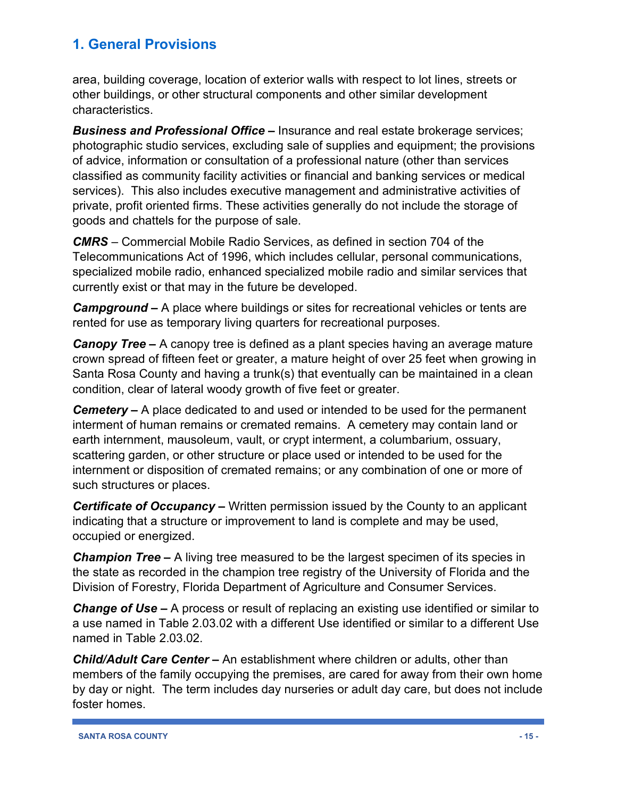area, building coverage, location of exterior walls with respect to lot lines, streets or other buildings, or other structural components and other similar development characteristics.

*Business and Professional Office –* Insurance and real estate brokerage services; photographic studio services, excluding sale of supplies and equipment; the provisions of advice, information or consultation of a professional nature (other than services classified as community facility activities or financial and banking services or medical services). This also includes executive management and administrative activities of private, profit oriented firms. These activities generally do not include the storage of goods and chattels for the purpose of sale.

*CMRS* – Commercial Mobile Radio Services, as defined in section 704 of the Telecommunications Act of 1996, which includes cellular, personal communications, specialized mobile radio, enhanced specialized mobile radio and similar services that currently exist or that may in the future be developed.

*Campground –* A place where buildings or sites for recreational vehicles or tents are rented for use as temporary living quarters for recreational purposes.

*Canopy Tree –* A canopy tree is defined as a plant species having an average mature crown spread of fifteen feet or greater, a mature height of over 25 feet when growing in Santa Rosa County and having a trunk(s) that eventually can be maintained in a clean condition, clear of lateral woody growth of five feet or greater.

*Cemetery –* A place dedicated to and used or intended to be used for the permanent interment of human remains or cremated remains. A cemetery may contain land or earth internment, mausoleum, vault, or crypt interment, a columbarium, ossuary, scattering garden, or other structure or place used or intended to be used for the internment or disposition of cremated remains; or any combination of one or more of such structures or places.

*Certificate of Occupancy –* Written permission issued by the County to an applicant indicating that a structure or improvement to land is complete and may be used, occupied or energized.

*Champion Tree –* A living tree measured to be the largest specimen of its species in the state as recorded in the champion tree registry of the University of Florida and the Division of Forestry, Florida Department of Agriculture and Consumer Services.

*Change of Use –* A process or result of replacing an existing use identified or similar to a use named in Table 2.03.02 with a different Use identified or similar to a different Use named in Table 2.03.02.

*Child/Adult Care Center –* An establishment where children or adults, other than members of the family occupying the premises, are cared for away from their own home by day or night. The term includes day nurseries or adult day care, but does not include foster homes.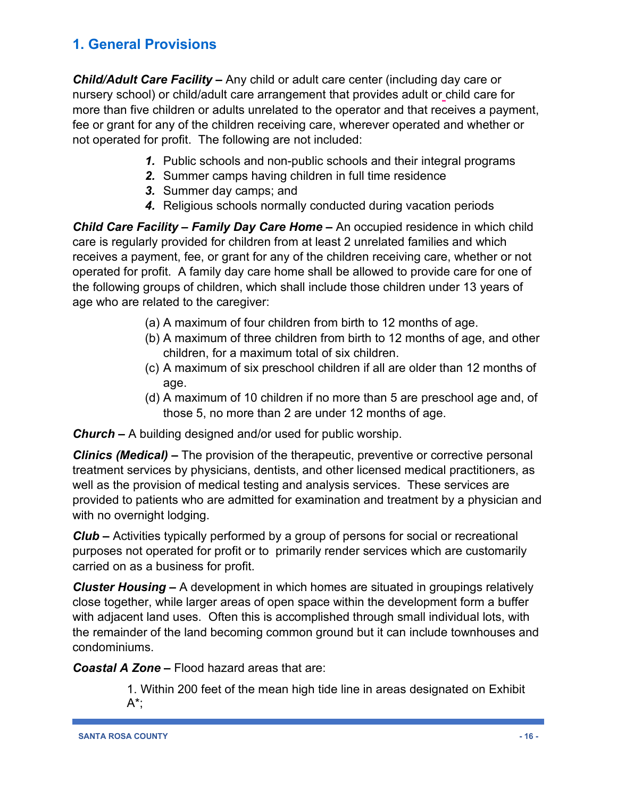*Child/Adult Care Facility –* Any child or adult care center (including day care or nursery school) or child/adult care arrangement that provides adult or child care for more than five children or adults unrelated to the operator and that receives a payment, fee or grant for any of the children receiving care, wherever operated and whether or not operated for profit. The following are not included:

- *1.* Public schools and non-public schools and their integral programs
- *2.* Summer camps having children in full time residence
- *3.* Summer day camps; and
- *4.* Religious schools normally conducted during vacation periods

*Child Care Facility – Family Day Care Home –* An occupied residence in which child care is regularly provided for children from at least 2 unrelated families and which receives a payment, fee, or grant for any of the children receiving care, whether or not operated for profit. A family day care home shall be allowed to provide care for one of the following groups of children, which shall include those children under 13 years of age who are related to the caregiver:

- (a) A maximum of four children from birth to 12 months of age.
- (b) A maximum of three children from birth to 12 months of age, and other children, for a maximum total of six children.
- (c) A maximum of six preschool children if all are older than 12 months of age.
- (d) A maximum of 10 children if no more than 5 are preschool age and, of those 5, no more than 2 are under 12 months of age.

*Church –* A building designed and/or used for public worship.

*Clinics (Medical) –* The provision of the therapeutic, preventive or corrective personal treatment services by physicians, dentists, and other licensed medical practitioners, as well as the provision of medical testing and analysis services. These services are provided to patients who are admitted for examination and treatment by a physician and with no overnight lodging.

*Club –* Activities typically performed by a group of persons for social or recreational purposes not operated for profit or to primarily render services which are customarily carried on as a business for profit.

*Cluster Housing –* A development in which homes are situated in groupings relatively close together, while larger areas of open space within the development form a buffer with adjacent land uses. Often this is accomplished through small individual lots, with the remainder of the land becoming common ground but it can include townhouses and condominiums.

*Coastal* **A Zone** – Flood hazard areas that are:

1. Within 200 feet of the mean high tide line in areas designated on Exhibit  $A^*;$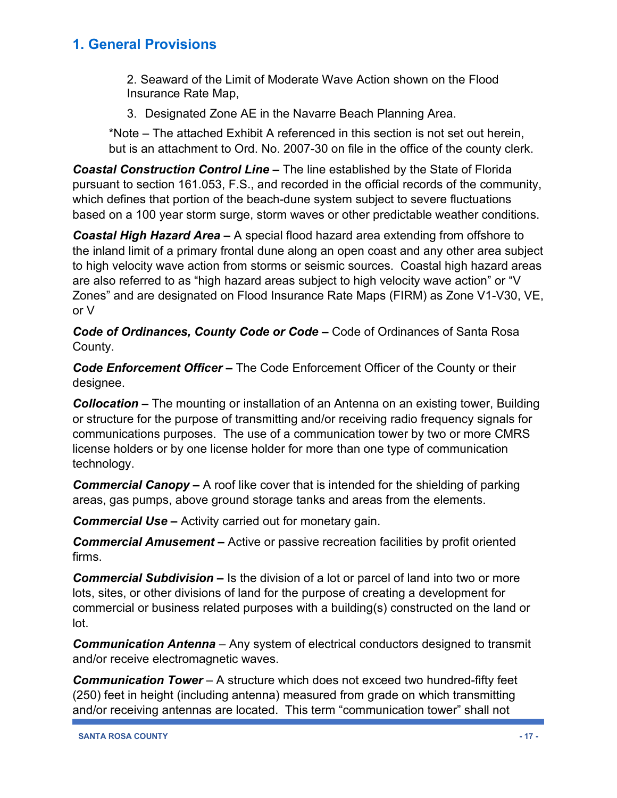2. Seaward of the Limit of Moderate Wave Action shown on the Flood Insurance Rate Map,

3. Designated Zone AE in the Navarre Beach Planning Area.

\*Note – The attached Exhibit A referenced in this section is not set out herein, but is an attachment to Ord. No. 2007-30 on file in the office of the county clerk.

*Coastal Construction Control Line –* The line established by the State of Florida pursuant to section 161.053, F.S., and recorded in the official records of the community, which defines that portion of the beach-dune system subject to severe fluctuations based on a 100 year storm surge, storm waves or other predictable weather conditions.

*Coastal High Hazard Area –* A special flood hazard area extending from offshore to the inland limit of a primary frontal dune along an open coast and any other area subject to high velocity wave action from storms or seismic sources. Coastal high hazard areas are also referred to as "high hazard areas subject to high velocity wave action" or "V Zones" and are designated on Flood Insurance Rate Maps (FIRM) as Zone V1-V30, VE, or V

*Code of Ordinances, County Code or Code –* Code of Ordinances of Santa Rosa County.

*Code Enforcement Officer –* The Code Enforcement Officer of the County or their designee.

*Collocation –* The mounting or installation of an Antenna on an existing tower, Building or structure for the purpose of transmitting and/or receiving radio frequency signals for communications purposes. The use of a communication tower by two or more CMRS license holders or by one license holder for more than one type of communication technology.

*Commercial Canopy –* A roof like cover that is intended for the shielding of parking areas, gas pumps, above ground storage tanks and areas from the elements.

*Commercial Use – Activity carried out for monetary gain.* 

*Commercial Amusement –* Active or passive recreation facilities by profit oriented firms.

*Commercial Subdivision* **–** Is the division of a lot or parcel of land into two or more lots, sites, or other divisions of land for the purpose of creating a development for commercial or business related purposes with a building(s) constructed on the land or lot.

*Communication Antenna* – Any system of electrical conductors designed to transmit and/or receive electromagnetic waves.

*Communication Tower* – A structure which does not exceed two hundred-fifty feet (250) feet in height (including antenna) measured from grade on which transmitting and/or receiving antennas are located. This term "communication tower" shall not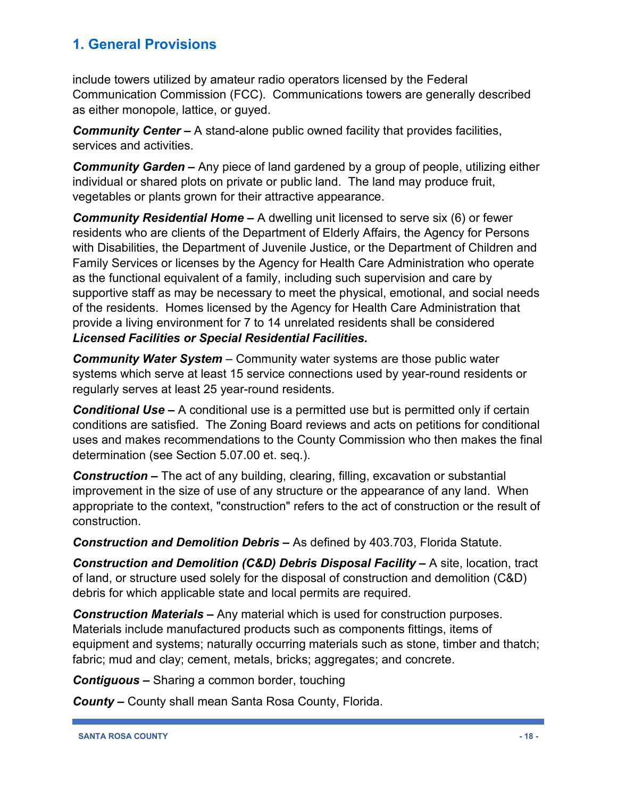include towers utilized by amateur radio operators licensed by the Federal Communication Commission (FCC). Communications towers are generally described as either monopole, lattice, or guyed.

*Community Center –* A stand-alone public owned facility that provides facilities, services and activities.

*Community Garden –* Any piece of land gardened by a group of people, utilizing either individual or shared plots on private or public land. The land may produce fruit, vegetables or plants grown for their attractive appearance.

*Community Residential Home –* A dwelling unit licensed to serve six (6) or fewer residents who are clients of the Department of Elderly Affairs, the Agency for Persons with Disabilities, the Department of Juvenile Justice, or the Department of Children and Family Services or licenses by the Agency for Health Care Administration who operate as the functional equivalent of a family, including such supervision and care by supportive staff as may be necessary to meet the physical, emotional, and social needs of the residents. Homes licensed by the Agency for Health Care Administration that provide a living environment for 7 to 14 unrelated residents shall be considered *Licensed Facilities or Special Residential Facilities.*

*Community Water System* – Community water systems are those public water systems which serve at least 15 service connections used by year-round residents or regularly serves at least 25 year-round residents.

*Conditional Use –* A conditional use is a permitted use but is permitted only if certain conditions are satisfied. The Zoning Board reviews and acts on petitions for conditional uses and makes recommendations to the County Commission who then makes the final determination (see Section 5.07.00 et. seq.).

*Construction –* The act of any building, clearing, filling, excavation or substantial improvement in the size of use of any structure or the appearance of any land. When appropriate to the context, "construction" refers to the act of construction or the result of construction.

*Construction and Demolition Debris –* As defined by 403.703, Florida Statute.

*Construction and Demolition (C&D) Debris Disposal Facility –* A site, location, tract of land, or structure used solely for the disposal of construction and demolition (C&D) debris for which applicable state and local permits are required.

*Construction Materials –* Any material which is used for construction purposes. Materials include manufactured products such as components fittings, items of equipment and systems; naturally occurring materials such as stone, timber and thatch; fabric; mud and clay; cement, metals, bricks; aggregates; and concrete.

*Contiguous –* Sharing a common border, touching

*County –* County shall mean Santa Rosa County, Florida.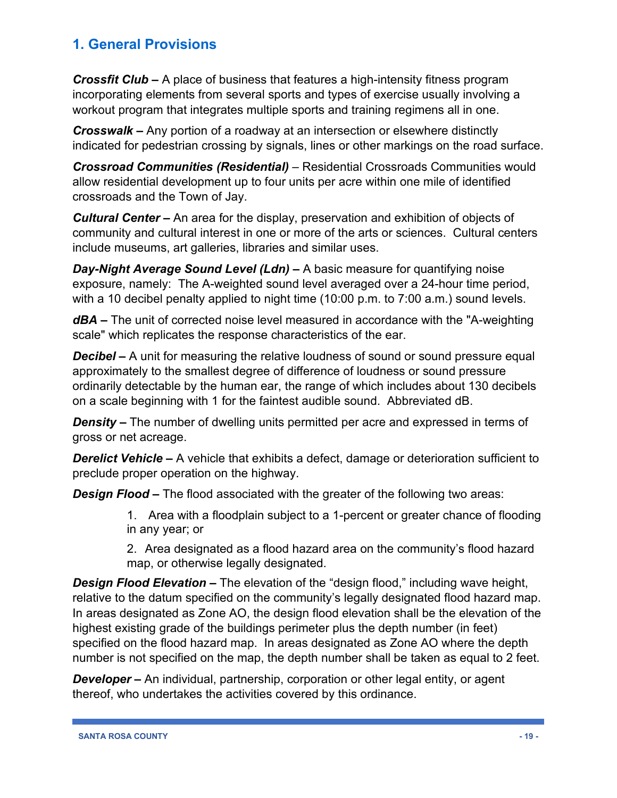*Crossfit Club –* A place of business that features a high-intensity fitness program incorporating elements from several sports and types of exercise usually involving a workout program that integrates multiple sports and training regimens all in one.

*Crosswalk –* Any portion of a roadway at an intersection or elsewhere distinctly indicated for pedestrian crossing by signals, lines or other markings on the road surface.

*Crossroad Communities (Residential)* – Residential Crossroads Communities would allow residential development up to four units per acre within one mile of identified crossroads and the Town of Jay.

*Cultural Center –* An area for the display, preservation and exhibition of objects of community and cultural interest in one or more of the arts or sciences. Cultural centers include museums, art galleries, libraries and similar uses.

*Day-Night Average Sound Level (Ldn) –* A basic measure for quantifying noise exposure, namely: The A-weighted sound level averaged over a 24-hour time period, with a 10 decibel penalty applied to night time (10:00 p.m. to 7:00 a.m.) sound levels.

*dBA –* The unit of corrected noise level measured in accordance with the "A-weighting scale" which replicates the response characteristics of the ear.

*Decibel* – A unit for measuring the relative loudness of sound or sound pressure equal approximately to the smallest degree of difference of loudness or sound pressure ordinarily detectable by the human ear, the range of which includes about 130 decibels on a scale beginning with 1 for the faintest audible sound. Abbreviated dB.

*Density* – The number of dwelling units permitted per acre and expressed in terms of gross or net acreage.

*Derelict Vehicle –* A vehicle that exhibits a defect, damage or deterioration sufficient to preclude proper operation on the highway.

*Design Flood –* The flood associated with the greater of the following two areas:

1. Area with a floodplain subject to a 1-percent or greater chance of flooding in any year; or

2. Area designated as a flood hazard area on the community's flood hazard map, or otherwise legally designated.

*Design Flood Elevation –* The elevation of the "design flood," including wave height, relative to the datum specified on the community's legally designated flood hazard map. In areas designated as Zone AO, the design flood elevation shall be the elevation of the highest existing grade of the buildings perimeter plus the depth number (in feet) specified on the flood hazard map. In areas designated as Zone AO where the depth number is not specified on the map, the depth number shall be taken as equal to 2 feet.

*Developer* – An individual, partnership, corporation or other legal entity, or agent thereof, who undertakes the activities covered by this ordinance.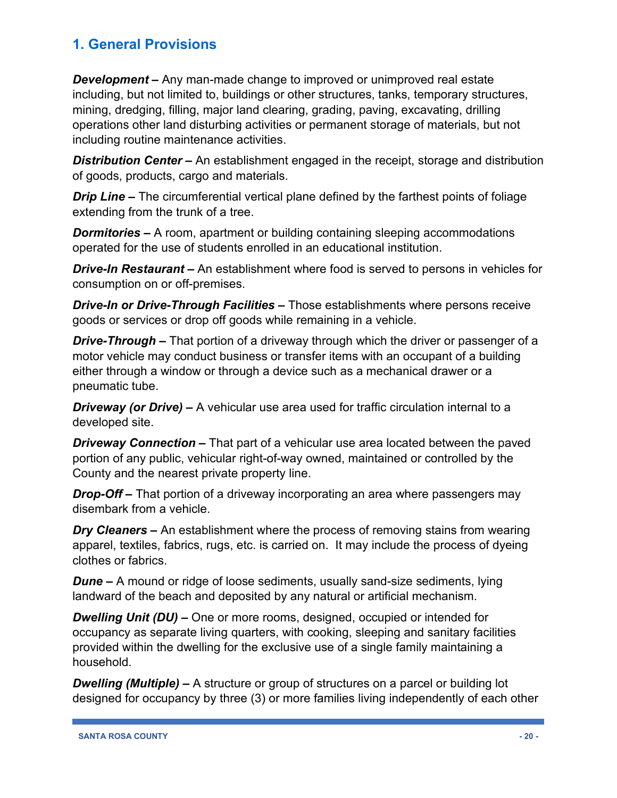*Development –* Any man-made change to improved or unimproved real estate including, but not limited to, buildings or other structures, tanks, temporary structures, mining, dredging, filling, major land clearing, grading, paving, excavating, drilling operations other land disturbing activities or permanent storage of materials, but not including routine maintenance activities.

**Distribution Center –** An establishment engaged in the receipt, storage and distribution of goods, products, cargo and materials.

*Drip Line –* The circumferential vertical plane defined by the farthest points of foliage extending from the trunk of a tree.

*Dormitories –* A room, apartment or building containing sleeping accommodations operated for the use of students enrolled in an educational institution.

*Drive-In Restaurant –* An establishment where food is served to persons in vehicles for consumption on or off-premises.

*Drive-In or Drive-Through Facilities –* Those establishments where persons receive goods or services or drop off goods while remaining in a vehicle.

*Drive-Through –* That portion of a driveway through which the driver or passenger of a motor vehicle may conduct business or transfer items with an occupant of a building either through a window or through a device such as a mechanical drawer or a pneumatic tube.

*Driveway (or Drive) –* A vehicular use area used for traffic circulation internal to a developed site.

*Driveway Connection –* That part of a vehicular use area located between the paved portion of any public, vehicular right-of-way owned, maintained or controlled by the County and the nearest private property line.

*Drop-Off –* That portion of a driveway incorporating an area where passengers may disembark from a vehicle.

*Dry Cleaners –* An establishment where the process of removing stains from wearing apparel, textiles, fabrics, rugs, etc. is carried on. It may include the process of dyeing clothes or fabrics.

*Dune –* A mound or ridge of loose sediments, usually sand-size sediments, lying landward of the beach and deposited by any natural or artificial mechanism.

*Dwelling Unit (DU) –* One or more rooms, designed, occupied or intended for occupancy as separate living quarters, with cooking, sleeping and sanitary facilities provided within the dwelling for the exclusive use of a single family maintaining a household.

*Dwelling (Multiple) –* A structure or group of structures on a parcel or building lot designed for occupancy by three (3) or more families living independently of each other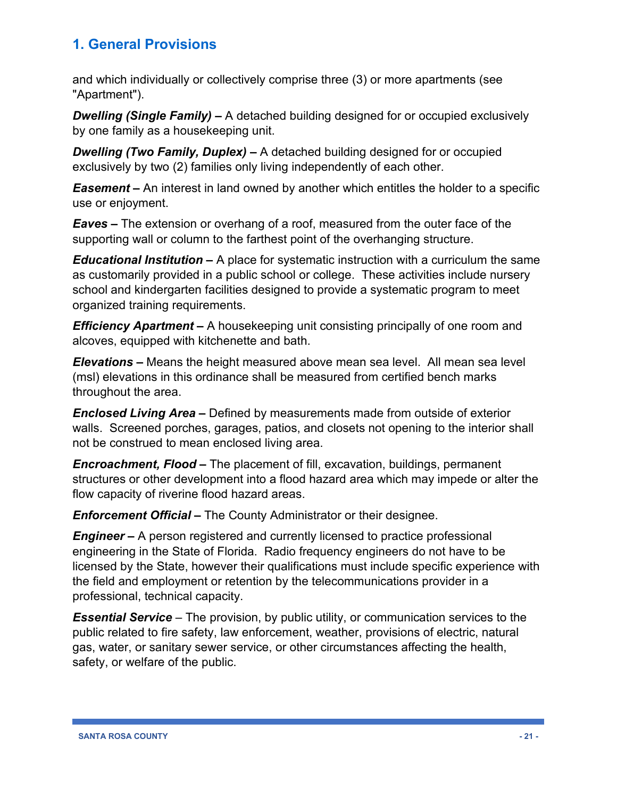and which individually or collectively comprise three (3) or more apartments (see "Apartment").

*Dwelling (Single Family) –* A detached building designed for or occupied exclusively by one family as a housekeeping unit.

*Dwelling (Two Family, Duplex) –* A detached building designed for or occupied exclusively by two (2) families only living independently of each other.

*Easement –* An interest in land owned by another which entitles the holder to a specific use or enjoyment.

*Eaves –* The extension or overhang of a roof, measured from the outer face of the supporting wall or column to the farthest point of the overhanging structure.

*Educational Institution –* A place for systematic instruction with a curriculum the same as customarily provided in a public school or college. These activities include nursery school and kindergarten facilities designed to provide a systematic program to meet organized training requirements.

*Efficiency Apartment –* A housekeeping unit consisting principally of one room and alcoves, equipped with kitchenette and bath.

*Elevations –* Means the height measured above mean sea level. All mean sea level (msl) elevations in this ordinance shall be measured from certified bench marks throughout the area.

*Enclosed Living Area –* Defined by measurements made from outside of exterior walls. Screened porches, garages, patios, and closets not opening to the interior shall not be construed to mean enclosed living area.

*Encroachment, Flood –* The placement of fill, excavation, buildings, permanent structures or other development into a flood hazard area which may impede or alter the flow capacity of riverine flood hazard areas.

*Enforcement Official –* The County Administrator or their designee.

*Engineer* – A person registered and currently licensed to practice professional engineering in the State of Florida. Radio frequency engineers do not have to be licensed by the State, however their qualifications must include specific experience with the field and employment or retention by the telecommunications provider in a professional, technical capacity.

*Essential Service* – The provision, by public utility, or communication services to the public related to fire safety, law enforcement, weather, provisions of electric, natural gas, water, or sanitary sewer service, or other circumstances affecting the health, safety, or welfare of the public.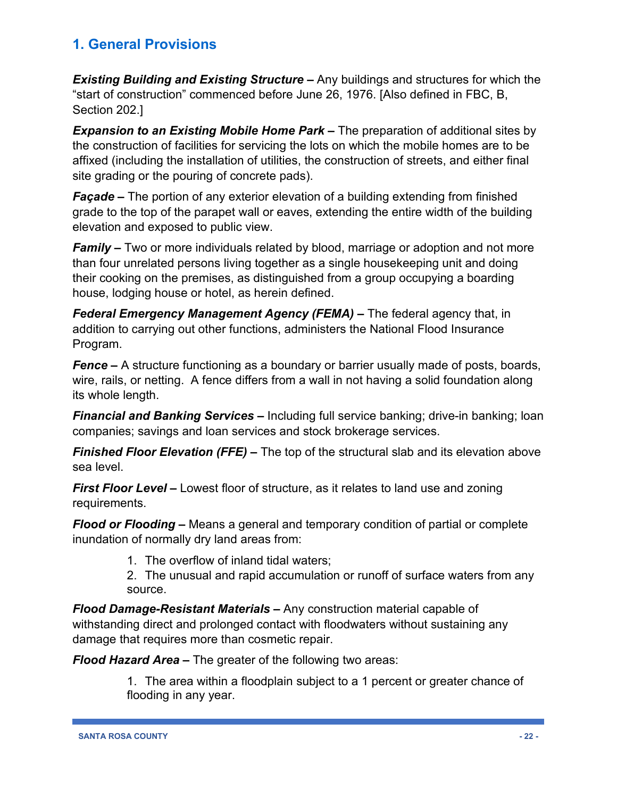*Existing Building and Existing Structure –* Any buildings and structures for which the "start of construction" commenced before June 26, 1976. [Also defined in FBC, B, Section 202.]

*Expansion to an Existing Mobile Home Park –* The preparation of additional sites by the construction of facilities for servicing the lots on which the mobile homes are to be affixed (including the installation of utilities, the construction of streets, and either final site grading or the pouring of concrete pads).

*Façade –* The portion of any exterior elevation of a building extending from finished grade to the top of the parapet wall or eaves, extending the entire width of the building elevation and exposed to public view.

*Family –* Two or more individuals related by blood, marriage or adoption and not more than four unrelated persons living together as a single housekeeping unit and doing their cooking on the premises, as distinguished from a group occupying a boarding house, lodging house or hotel, as herein defined.

*Federal Emergency Management Agency (FEMA) –* The federal agency that, in addition to carrying out other functions, administers the National Flood Insurance Program.

*Fence –* A structure functioning as a boundary or barrier usually made of posts, boards, wire, rails, or netting. A fence differs from a wall in not having a solid foundation along its whole length.

*Financial and Banking Services –* Including full service banking; drive-in banking; loan companies; savings and loan services and stock brokerage services.

*Finished Floor Elevation (FFE) –* The top of the structural slab and its elevation above sea level.

*First Floor Level –* Lowest floor of structure, as it relates to land use and zoning requirements.

*Flood or Flooding –* Means a general and temporary condition of partial or complete inundation of normally dry land areas from:

1. The overflow of inland tidal waters;

2. The unusual and rapid accumulation or runoff of surface waters from any source.

*Flood Damage-Resistant Materials –* Any construction material capable of withstanding direct and prolonged contact with floodwaters without sustaining any damage that requires more than cosmetic repair.

*Flood Hazard Area –* The greater of the following two areas:

1. The area within a floodplain subject to a 1 percent or greater chance of flooding in any year.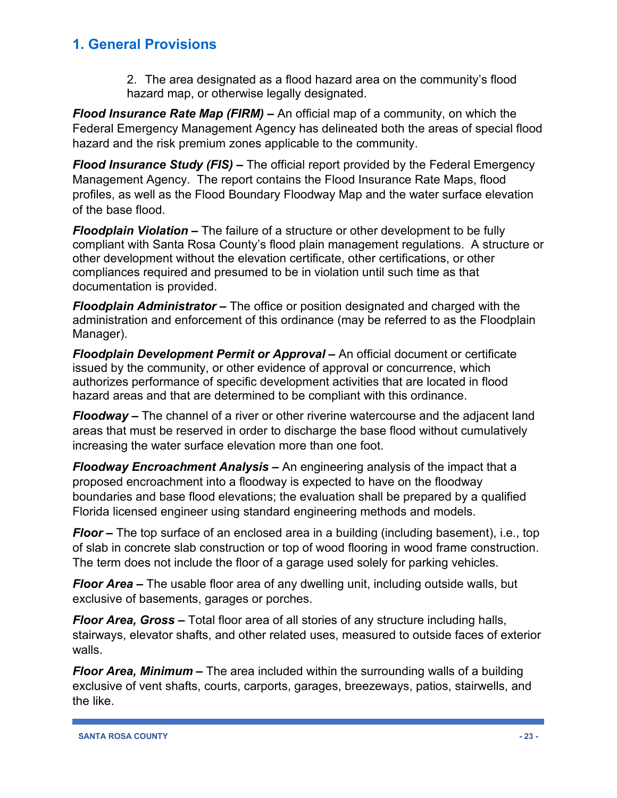2. The area designated as a flood hazard area on the community's flood hazard map, or otherwise legally designated.

*Flood Insurance Rate Map (FIRM) –* An official map of a community, on which the Federal Emergency Management Agency has delineated both the areas of special flood hazard and the risk premium zones applicable to the community.

*Flood Insurance Study (FIS) –* The official report provided by the Federal Emergency Management Agency. The report contains the Flood Insurance Rate Maps, flood profiles, as well as the Flood Boundary Floodway Map and the water surface elevation of the base flood.

*Floodplain Violation –* The failure of a structure or other development to be fully compliant with Santa Rosa County's flood plain management regulations. A structure or other development without the elevation certificate, other certifications, or other compliances required and presumed to be in violation until such time as that documentation is provided.

*Floodplain Administrator –* The office or position designated and charged with the administration and enforcement of this ordinance (may be referred to as the Floodplain Manager).

*Floodplain Development Permit or Approval –* An official document or certificate issued by the community, or other evidence of approval or concurrence, which authorizes performance of specific development activities that are located in flood hazard areas and that are determined to be compliant with this ordinance.

*Floodway –* The channel of a river or other riverine watercourse and the adjacent land areas that must be reserved in order to discharge the base flood without cumulatively increasing the water surface elevation more than one foot.

*Floodway Encroachment Analysis –* An engineering analysis of the impact that a proposed encroachment into a floodway is expected to have on the floodway boundaries and base flood elevations; the evaluation shall be prepared by a qualified Florida licensed engineer using standard engineering methods and models.

*Floor –* The top surface of an enclosed area in a building (including basement), i.e., top of slab in concrete slab construction or top of wood flooring in wood frame construction. The term does not include the floor of a garage used solely for parking vehicles.

*Floor Area –* The usable floor area of any dwelling unit, including outside walls, but exclusive of basements, garages or porches.

*Floor Area, Gross –* Total floor area of all stories of any structure including halls, stairways, elevator shafts, and other related uses, measured to outside faces of exterior walls.

*Floor Area, Minimum –* The area included within the surrounding walls of a building exclusive of vent shafts, courts, carports, garages, breezeways, patios, stairwells, and the like.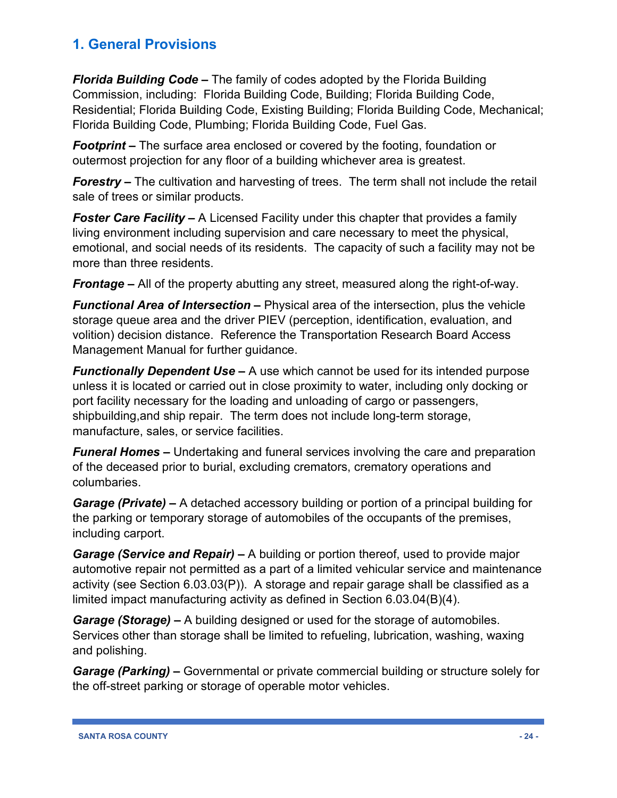*Florida Building Code –* The family of codes adopted by the Florida Building Commission, including: Florida Building Code, Building; Florida Building Code, Residential; Florida Building Code, Existing Building; Florida Building Code, Mechanical; Florida Building Code, Plumbing; Florida Building Code, Fuel Gas.

*Footprint –* The surface area enclosed or covered by the footing, foundation or outermost projection for any floor of a building whichever area is greatest.

*Forestry* – The cultivation and harvesting of trees. The term shall not include the retail sale of trees or similar products.

*Foster Care Facility –* A Licensed Facility under this chapter that provides a family living environment including supervision and care necessary to meet the physical, emotional, and social needs of its residents. The capacity of such a facility may not be more than three residents.

*Frontage –* All of the property abutting any street, measured along the right-of-way.

*Functional Area of Intersection –* Physical area of the intersection, plus the vehicle storage queue area and the driver PIEV (perception, identification, evaluation, and volition) decision distance. Reference the Transportation Research Board Access Management Manual for further guidance.

*Functionally Dependent Use –* A use which cannot be used for its intended purpose unless it is located or carried out in close proximity to water, including only docking or port facility necessary for the loading and unloading of cargo or passengers, shipbuilding,and ship repair. The term does not include long-term storage, manufacture, sales, or service facilities.

*Funeral Homes –* Undertaking and funeral services involving the care and preparation of the deceased prior to burial, excluding cremators, crematory operations and columbaries.

*Garage (Private) –* A detached accessory building or portion of a principal building for the parking or temporary storage of automobiles of the occupants of the premises, including carport.

*Garage (Service and Repair) –* A building or portion thereof, used to provide major automotive repair not permitted as a part of a limited vehicular service and maintenance activity (see Section 6.03.03(P)). A storage and repair garage shall be classified as a limited impact manufacturing activity as defined in Section 6.03.04(B)(4).

*Garage (Storage) –* A building designed or used for the storage of automobiles. Services other than storage shall be limited to refueling, lubrication, washing, waxing and polishing.

*Garage (Parking) –* Governmental or private commercial building or structure solely for the off-street parking or storage of operable motor vehicles.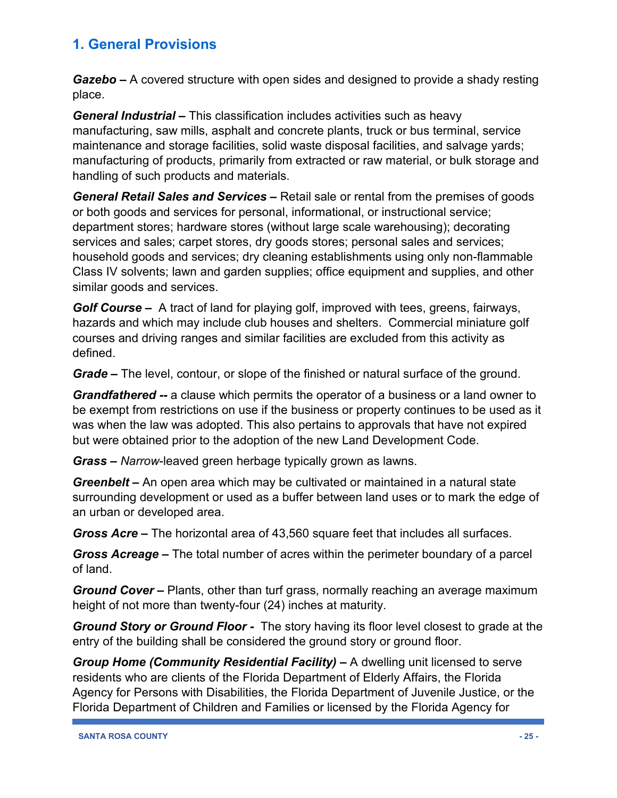*Gazebo –* A covered structure with open sides and designed to provide a shady resting place.

*General Industrial –* This classification includes activities such as heavy manufacturing, saw mills, asphalt and concrete plants, truck or bus terminal, service maintenance and storage facilities, solid waste disposal facilities, and salvage yards; manufacturing of products, primarily from extracted or raw material, or bulk storage and handling of such products and materials.

*General Retail Sales and Services –* Retail sale or rental from the premises of goods or both goods and services for personal, informational, or instructional service; department stores; hardware stores (without large scale warehousing); decorating services and sales; carpet stores, dry goods stores; personal sales and services; household goods and services; dry cleaning establishments using only non-flammable Class IV solvents; lawn and garden supplies; office equipment and supplies, and other similar goods and services.

*Golf Course –* A tract of land for playing golf, improved with tees, greens, fairways, hazards and which may include club houses and shelters. Commercial miniature golf courses and driving ranges and similar facilities are excluded from this activity as defined.

*Grade –* The level, contour, or slope of the finished or natural surface of the ground.

*Grandfathered --* a clause which permits the operator of a business or a land owner to be exempt from restrictions on use if the business or property continues to be used as it was when the law was adopted. This also pertains to approvals that have not expired but were obtained prior to the adoption of the new Land Development Code.

*Grass – Narrow*-leaved green herbage typically grown as lawns.

*Greenbelt –* An open area which may be cultivated or maintained in a natural state surrounding development or used as a buffer between land uses or to mark the edge of an urban or developed area.

*Gross Acre –* The horizontal area of 43,560 square feet that includes all surfaces.

*Gross Acreage –* The total number of acres within the perimeter boundary of a parcel of land.

*Ground Cover –* Plants, other than turf grass, normally reaching an average maximum height of not more than twenty-four (24) inches at maturity.

*Ground Story or Ground Floor -* The story having its floor level closest to grade at the entry of the building shall be considered the ground story or ground floor.

*Group Home (Community Residential Facility) –* A dwelling unit licensed to serve residents who are clients of the Florida Department of Elderly Affairs, the Florida Agency for Persons with Disabilities, the Florida Department of Juvenile Justice, or the Florida Department of Children and Families or licensed by the Florida Agency for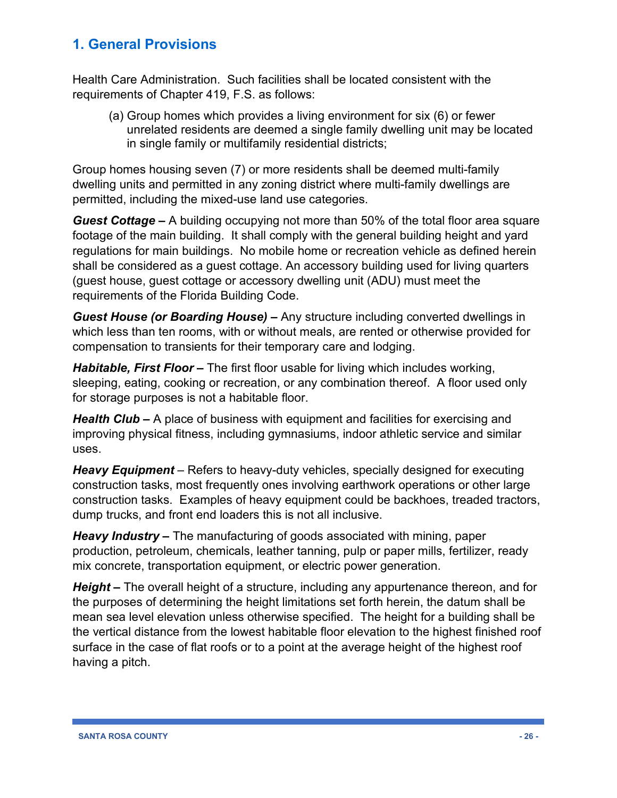Health Care Administration. Such facilities shall be located consistent with the requirements of Chapter 419, F.S. as follows:

(a) Group homes which provides a living environment for six (6) or fewer unrelated residents are deemed a single family dwelling unit may be located in single family or multifamily residential districts;

Group homes housing seven (7) or more residents shall be deemed multi-family dwelling units and permitted in any zoning district where multi-family dwellings are permitted, including the mixed-use land use categories.

*Guest Cottage –* A building occupying not more than 50% of the total floor area square footage of the main building. It shall comply with the general building height and yard regulations for main buildings. No mobile home or recreation vehicle as defined herein shall be considered as a guest cottage. An accessory building used for living quarters (guest house, guest cottage or accessory dwelling unit (ADU) must meet the requirements of the Florida Building Code.

*Guest House (or Boarding House) –* Any structure including converted dwellings in which less than ten rooms, with or without meals, are rented or otherwise provided for compensation to transients for their temporary care and lodging.

*Habitable, First Floor –* The first floor usable for living which includes working, sleeping, eating, cooking or recreation, or any combination thereof. A floor used only for storage purposes is not a habitable floor.

*Health Club –* A place of business with equipment and facilities for exercising and improving physical fitness, including gymnasiums, indoor athletic service and similar uses.

*Heavy Equipment* – Refers to heavy-duty vehicles, specially designed for executing construction tasks, most frequently ones involving earthwork operations or other large construction tasks. Examples of heavy equipment could be backhoes, treaded tractors, dump trucks, and front end loaders this is not all inclusive.

*Heavy Industry –* The manufacturing of goods associated with mining, paper production, petroleum, chemicals, leather tanning, pulp or paper mills, fertilizer, ready mix concrete, transportation equipment, or electric power generation.

*Height –* The overall height of a structure, including any appurtenance thereon, and for the purposes of determining the height limitations set forth herein, the datum shall be mean sea level elevation unless otherwise specified. The height for a building shall be the vertical distance from the lowest habitable floor elevation to the highest finished roof surface in the case of flat roofs or to a point at the average height of the highest roof having a pitch.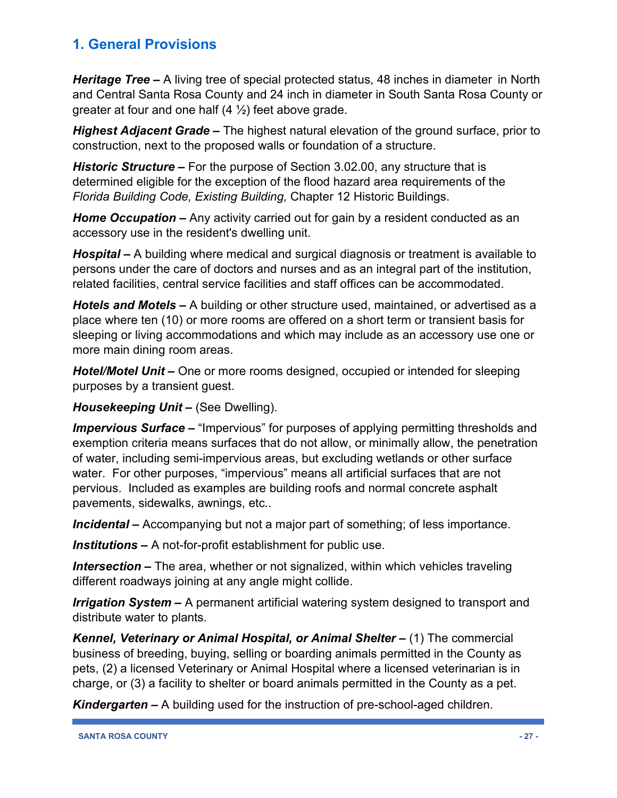*Heritage Tree –* A living tree of special protected status, 48 inches in diameter in North and Central Santa Rosa County and 24 inch in diameter in South Santa Rosa County or greater at four and one half  $(4 \frac{1}{2})$  feet above grade.

*Highest Adjacent Grade –* The highest natural elevation of the ground surface, prior to construction, next to the proposed walls or foundation of a structure.

*Historic Structure –* For the purpose of Section 3.02.00, any structure that is determined eligible for the exception of the flood hazard area requirements of the *Florida Building Code, Existing Building,* Chapter 12 Historic Buildings.

*Home Occupation –* Any activity carried out for gain by a resident conducted as an accessory use in the resident's dwelling unit.

*Hospital –* A building where medical and surgical diagnosis or treatment is available to persons under the care of doctors and nurses and as an integral part of the institution, related facilities, central service facilities and staff offices can be accommodated.

*Hotels and Motels –* A building or other structure used, maintained, or advertised as a place where ten (10) or more rooms are offered on a short term or transient basis for sleeping or living accommodations and which may include as an accessory use one or more main dining room areas.

*Hotel/Motel Unit –* One or more rooms designed, occupied or intended for sleeping purposes by a transient guest.

*Housekeeping Unit –* (See Dwelling).

*Impervious Surface –* "Impervious" for purposes of applying permitting thresholds and exemption criteria means surfaces that do not allow, or minimally allow, the penetration of water, including semi-impervious areas, but excluding wetlands or other surface water. For other purposes, "impervious" means all artificial surfaces that are not pervious. Included as examples are building roofs and normal concrete asphalt pavements, sidewalks, awnings, etc..

*Incidental –* Accompanying but not a major part of something; of less importance.

*Institutions –* A not-for-profit establishment for public use.

*Intersection –* The area, whether or not signalized, within which vehicles traveling different roadways joining at any angle might collide.

*Irrigation System –* A permanent artificial watering system designed to transport and distribute water to plants.

*Kennel, Veterinary or Animal Hospital, or Animal Shelter –* (1) The commercial business of breeding, buying, selling or boarding animals permitted in the County as pets, (2) a licensed Veterinary or Animal Hospital where a licensed veterinarian is in charge, or (3) a facility to shelter or board animals permitted in the County as a pet.

*Kindergarten –* A building used for the instruction of pre-school-aged children.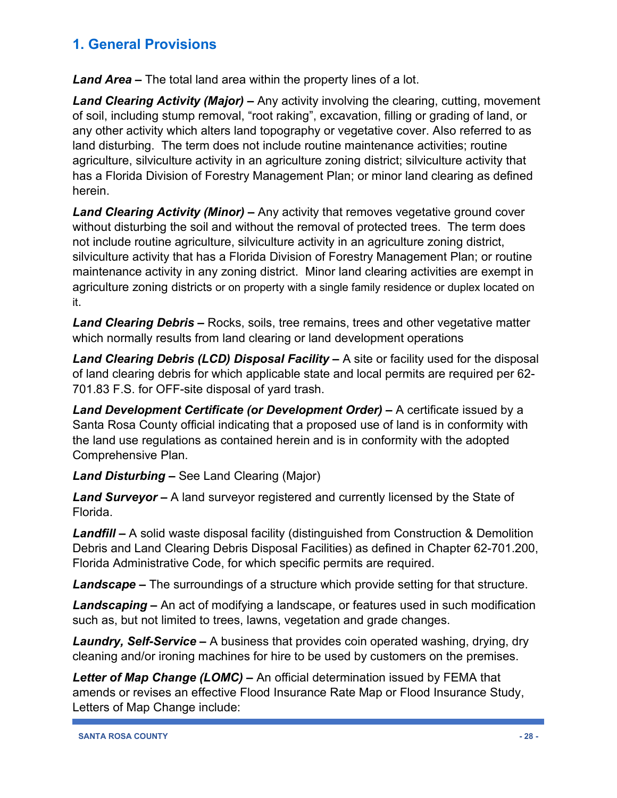*Land Area –* The total land area within the property lines of a lot.

*Land Clearing Activity (Major) –* Any activity involving the clearing, cutting, movement of soil, including stump removal, "root raking", excavation, filling or grading of land, or any other activity which alters land topography or vegetative cover. Also referred to as land disturbing. The term does not include routine maintenance activities; routine agriculture, silviculture activity in an agriculture zoning district; silviculture activity that has a Florida Division of Forestry Management Plan; or minor land clearing as defined herein.

*Land Clearing Activity (Minor) –* Any activity that removes vegetative ground cover without disturbing the soil and without the removal of protected trees. The term does not include routine agriculture, silviculture activity in an agriculture zoning district, silviculture activity that has a Florida Division of Forestry Management Plan; or routine maintenance activity in any zoning district. Minor land clearing activities are exempt in agriculture zoning districts or on property with a single family residence or duplex located on it.

*Land Clearing Debris –* Rocks, soils, tree remains, trees and other vegetative matter which normally results from land clearing or land development operations

*Land Clearing Debris (LCD) Disposal Facility –* A site or facility used for the disposal of land clearing debris for which applicable state and local permits are required per 62- 701.83 F.S. for OFF-site disposal of yard trash.

*Land Development Certificate (or Development Order) –* A certificate issued by a Santa Rosa County official indicating that a proposed use of land is in conformity with the land use regulations as contained herein and is in conformity with the adopted Comprehensive Plan.

*Land Disturbing –* See Land Clearing (Major)

*Land Surveyor –* A land surveyor registered and currently licensed by the State of Florida.

*Landfill –* A solid waste disposal facility (distinguished from Construction & Demolition Debris and Land Clearing Debris Disposal Facilities) as defined in Chapter 62-701.200, Florida Administrative Code, for which specific permits are required.

*Landscape –* The surroundings of a structure which provide setting for that structure.

*Landscaping –* An act of modifying a landscape, or features used in such modification such as, but not limited to trees, lawns, vegetation and grade changes.

*Laundry, Self-Service –* A business that provides coin operated washing, drying, dry cleaning and/or ironing machines for hire to be used by customers on the premises.

*Letter of Map Change (LOMC) –* An official determination issued by FEMA that amends or revises an effective Flood Insurance Rate Map or Flood Insurance Study, Letters of Map Change include: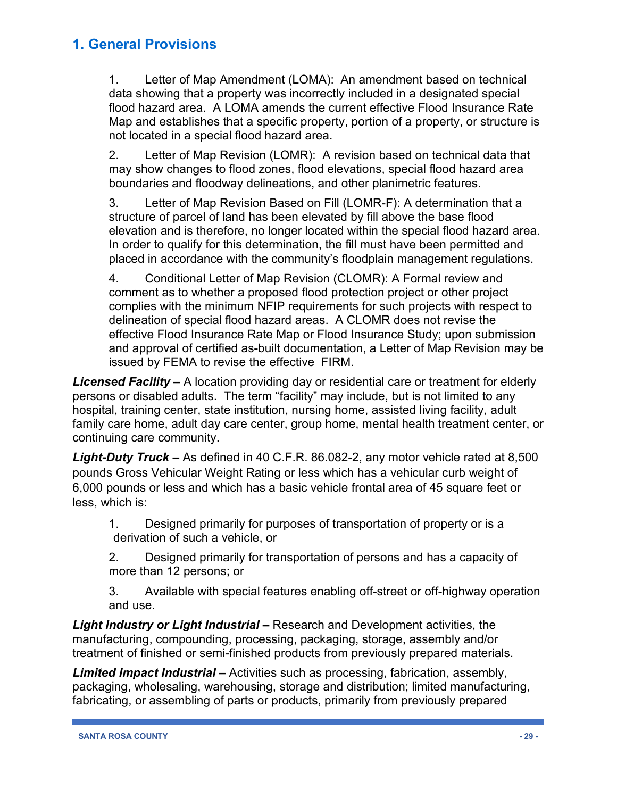1. Letter of Map Amendment (LOMA): An amendment based on technical data showing that a property was incorrectly included in a designated special flood hazard area. A LOMA amends the current effective Flood Insurance Rate Map and establishes that a specific property, portion of a property, or structure is not located in a special flood hazard area.

2. Letter of Map Revision (LOMR): A revision based on technical data that may show changes to flood zones, flood elevations, special flood hazard area boundaries and floodway delineations, and other planimetric features.

3. Letter of Map Revision Based on Fill (LOMR-F): A determination that a structure of parcel of land has been elevated by fill above the base flood elevation and is therefore, no longer located within the special flood hazard area. In order to qualify for this determination, the fill must have been permitted and placed in accordance with the community's floodplain management regulations.

4. Conditional Letter of Map Revision (CLOMR): A Formal review and comment as to whether a proposed flood protection project or other project complies with the minimum NFIP requirements for such projects with respect to delineation of special flood hazard areas. A CLOMR does not revise the effective Flood Insurance Rate Map or Flood Insurance Study; upon submission and approval of certified as-built documentation, a Letter of Map Revision may be issued by FEMA to revise the effective FIRM.

*Licensed Facility –* A location providing day or residential care or treatment for elderly persons or disabled adults. The term "facility" may include, but is not limited to any hospital, training center, state institution, nursing home, assisted living facility, adult family care home, adult day care center, group home, mental health treatment center, or continuing care community.

*Light-Duty Truck –* As defined in 40 C.F.R. 86.082-2, any motor vehicle rated at 8,500 pounds Gross Vehicular Weight Rating or less which has a vehicular curb weight of 6,000 pounds or less and which has a basic vehicle frontal area of 45 square feet or less, which is:

1. Designed primarily for purposes of transportation of property or is a derivation of such a vehicle, or

2. Designed primarily for transportation of persons and has a capacity of more than 12 persons; or

3. Available with special features enabling off-street or off-highway operation and use.

*Light Industry or Light Industrial –* Research and Development activities, the manufacturing, compounding, processing, packaging, storage, assembly and/or treatment of finished or semi-finished products from previously prepared materials.

*Limited Impact Industrial –* Activities such as processing, fabrication, assembly, packaging, wholesaling, warehousing, storage and distribution; limited manufacturing, fabricating, or assembling of parts or products, primarily from previously prepared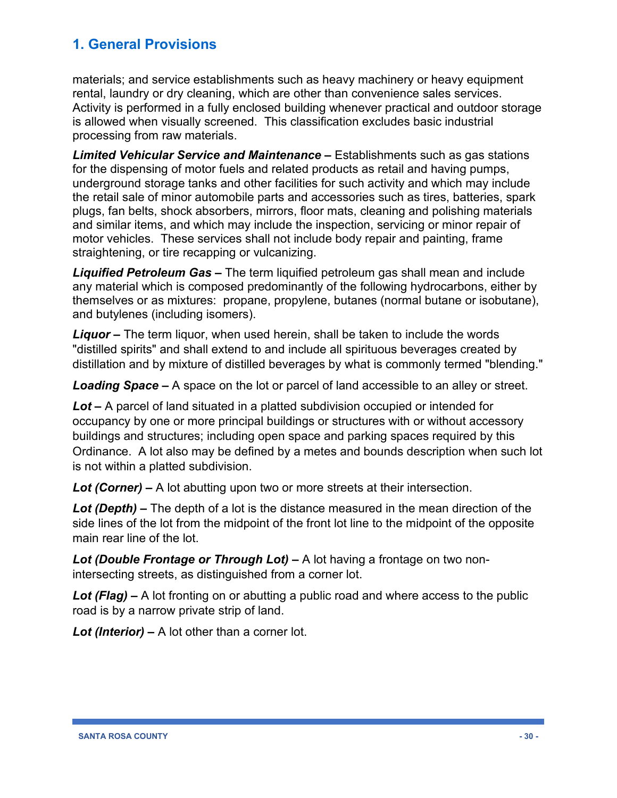materials; and service establishments such as heavy machinery or heavy equipment rental, laundry or dry cleaning, which are other than convenience sales services. Activity is performed in a fully enclosed building whenever practical and outdoor storage is allowed when visually screened. This classification excludes basic industrial processing from raw materials.

*Limited Vehicular Service and Maintenance –* Establishments such as gas stations for the dispensing of motor fuels and related products as retail and having pumps, underground storage tanks and other facilities for such activity and which may include the retail sale of minor automobile parts and accessories such as tires, batteries, spark plugs, fan belts, shock absorbers, mirrors, floor mats, cleaning and polishing materials and similar items, and which may include the inspection, servicing or minor repair of motor vehicles. These services shall not include body repair and painting, frame straightening, or tire recapping or vulcanizing.

*Liquified Petroleum Gas –* The term liquified petroleum gas shall mean and include any material which is composed predominantly of the following hydrocarbons, either by themselves or as mixtures: propane, propylene, butanes (normal butane or isobutane), and butylenes (including isomers).

*Liquor –* The term liquor, when used herein, shall be taken to include the words "distilled spirits" and shall extend to and include all spirituous beverages created by distillation and by mixture of distilled beverages by what is commonly termed "blending."

*Loading Space –* A space on the lot or parcel of land accessible to an alley or street.

*Lot –* A parcel of land situated in a platted subdivision occupied or intended for occupancy by one or more principal buildings or structures with or without accessory buildings and structures; including open space and parking spaces required by this Ordinance. A lot also may be defined by a metes and bounds description when such lot is not within a platted subdivision.

*Lot (Corner) –* A lot abutting upon two or more streets at their intersection.

*Lot (Depth) –* The depth of a lot is the distance measured in the mean direction of the side lines of the lot from the midpoint of the front lot line to the midpoint of the opposite main rear line of the lot.

*Lot (Double Frontage or Through Lot) –* A lot having a frontage on two nonintersecting streets, as distinguished from a corner lot.

*Lot (Flag) –* A lot fronting on or abutting a public road and where access to the public road is by a narrow private strip of land.

*Lot (Interior) –* A lot other than a corner lot.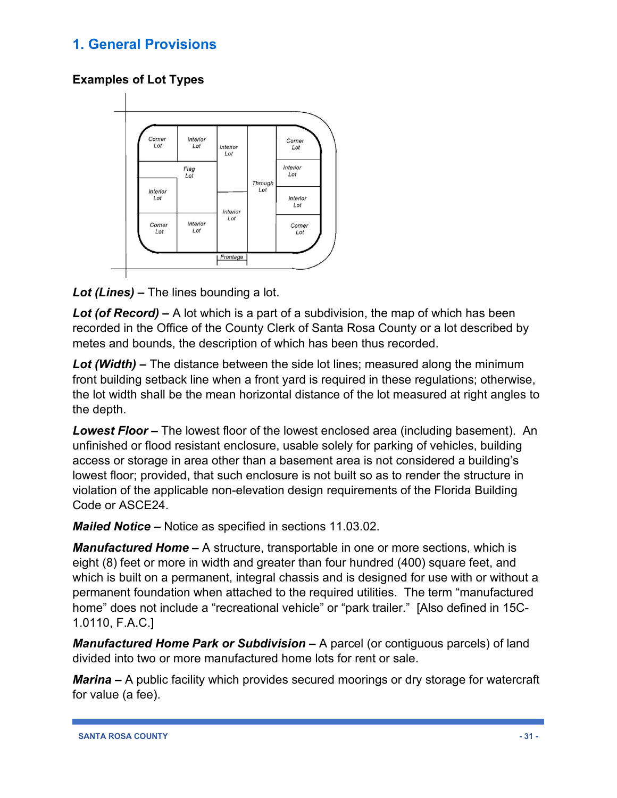#### **Examples of Lot Types**



*Lot (Lines) –* The lines bounding a lot.

*Lot (of Record) –* A lot which is a part of a subdivision, the map of which has been recorded in the Office of the County Clerk of Santa Rosa County or a lot described by metes and bounds, the description of which has been thus recorded.

*Lot (Width) –* The distance between the side lot lines; measured along the minimum front building setback line when a front yard is required in these regulations; otherwise, the lot width shall be the mean horizontal distance of the lot measured at right angles to the depth.

*Lowest Floor –* The lowest floor of the lowest enclosed area (including basement). An unfinished or flood resistant enclosure, usable solely for parking of vehicles, building access or storage in area other than a basement area is not considered a building's lowest floor; provided, that such enclosure is not built so as to render the structure in violation of the applicable non-elevation design requirements of the Florida Building Code or ASCE24.

*Mailed Notice –* Notice as specified in sections 11.03.02.

*Manufactured Home –* A structure, transportable in one or more sections, which is eight (8) feet or more in width and greater than four hundred (400) square feet, and which is built on a permanent, integral chassis and is designed for use with or without a permanent foundation when attached to the required utilities. The term "manufactured home" does not include a "recreational vehicle" or "park trailer." [Also defined in 15C-1.0110, F.A.C.]

*Manufactured Home Park or Subdivision –* A parcel (or contiguous parcels) of land divided into two or more manufactured home lots for rent or sale.

*Marina –* A public facility which provides secured moorings or dry storage for watercraft for value (a fee).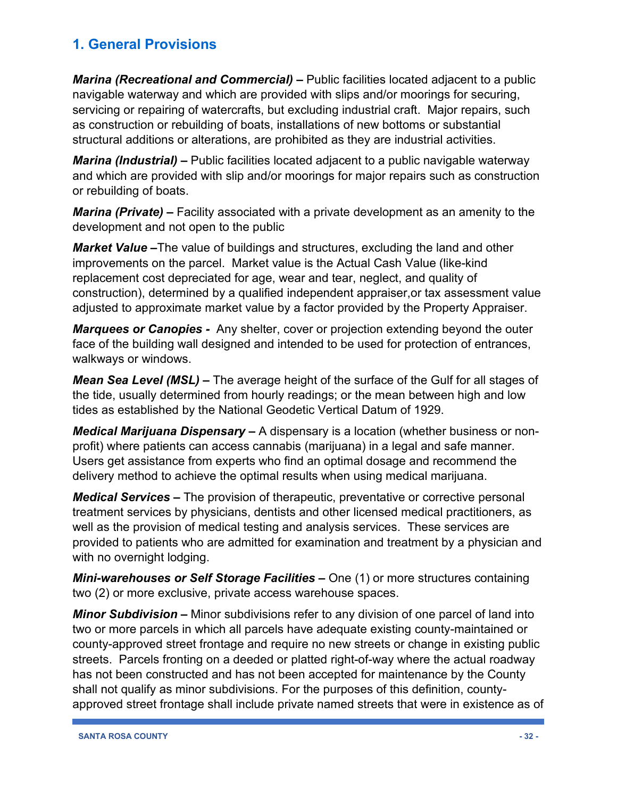*Marina (Recreational and Commercial) –* Public facilities located adjacent to a public navigable waterway and which are provided with slips and/or moorings for securing, servicing or repairing of watercrafts, but excluding industrial craft. Major repairs, such as construction or rebuilding of boats, installations of new bottoms or substantial structural additions or alterations, are prohibited as they are industrial activities.

*Marina (Industrial) –* Public facilities located adjacent to a public navigable waterway and which are provided with slip and/or moorings for major repairs such as construction or rebuilding of boats.

*Marina (Private) –* Facility associated with a private development as an amenity to the development and not open to the public

*Market Value –*The value of buildings and structures, excluding the land and other improvements on the parcel. Market value is the Actual Cash Value (like-kind replacement cost depreciated for age, wear and tear, neglect, and quality of construction), determined by a qualified independent appraiser,or tax assessment value adjusted to approximate market value by a factor provided by the Property Appraiser.

*Marquees or Canopies -* Any shelter, cover or projection extending beyond the outer face of the building wall designed and intended to be used for protection of entrances, walkways or windows.

*Mean Sea Level (MSL) –* The average height of the surface of the Gulf for all stages of the tide, usually determined from hourly readings; or the mean between high and low tides as established by the National Geodetic Vertical Datum of 1929.

*Medical Marijuana Dispensary –* A dispensary is a location (whether business or nonprofit) where patients can access cannabis (marijuana) in a legal and safe manner. Users get assistance from experts who find an optimal dosage and recommend the delivery method to achieve the optimal results when using medical marijuana.

*Medical Services –* The provision of therapeutic, preventative or corrective personal treatment services by physicians, dentists and other licensed medical practitioners, as well as the provision of medical testing and analysis services. These services are provided to patients who are admitted for examination and treatment by a physician and with no overnight lodging.

*Mini-warehouses or Self Storage Facilities –* One (1) or more structures containing two (2) or more exclusive, private access warehouse spaces.

*Minor Subdivision –* Minor subdivisions refer to any division of one parcel of land into two or more parcels in which all parcels have adequate existing county-maintained or county-approved street frontage and require no new streets or change in existing public streets. Parcels fronting on a deeded or platted right-of-way where the actual roadway has not been constructed and has not been accepted for maintenance by the County shall not qualify as minor subdivisions. For the purposes of this definition, countyapproved street frontage shall include private named streets that were in existence as of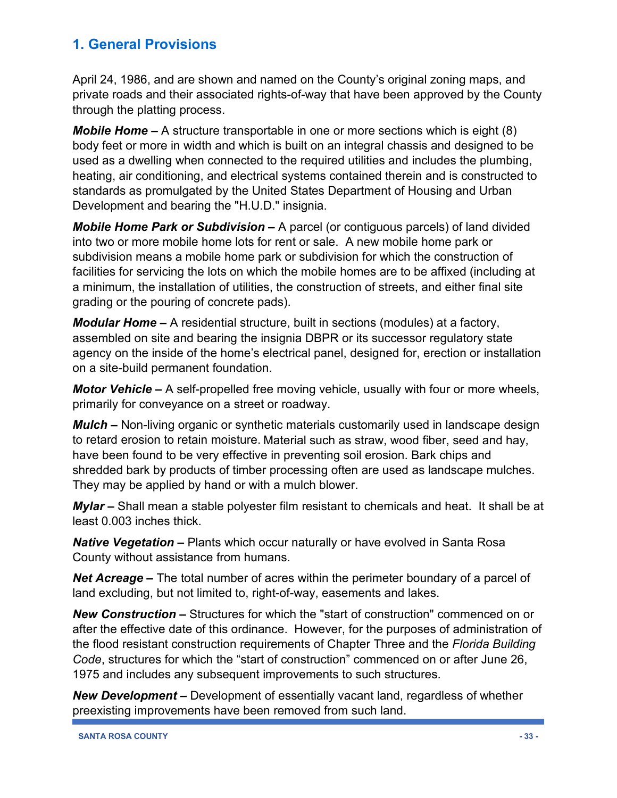April 24, 1986, and are shown and named on the County's original zoning maps, and private roads and their associated rights-of-way that have been approved by the County through the platting process.

*Mobile Home –* A structure transportable in one or more sections which is eight (8) body feet or more in width and which is built on an integral chassis and designed to be used as a dwelling when connected to the required utilities and includes the plumbing, heating, air conditioning, and electrical systems contained therein and is constructed to standards as promulgated by the United States Department of Housing and Urban Development and bearing the "H.U.D." insignia.

*Mobile Home Park or Subdivision –* A parcel (or contiguous parcels) of land divided into two or more mobile home lots for rent or sale. A new mobile home park or subdivision means a mobile home park or subdivision for which the construction of facilities for servicing the lots on which the mobile homes are to be affixed (including at a minimum, the installation of utilities, the construction of streets, and either final site grading or the pouring of concrete pads).

*Modular Home –* A residential structure, built in sections (modules) at a factory, assembled on site and bearing the insignia DBPR or its successor regulatory state agency on the inside of the home's electrical panel, designed for, erection or installation on a site-build permanent foundation.

*Motor Vehicle –* A self-propelled free moving vehicle, usually with four or more wheels, primarily for conveyance on a street or roadway.

*Mulch –* Non-living organic or synthetic materials customarily used in landscape design to retard erosion to retain moisture. Material such as straw, wood fiber, seed and hay, have been found to be very effective in preventing soil erosion. Bark chips and shredded bark by products of timber processing often are used as landscape mulches. They may be applied by hand or with a mulch blower.

*Mylar –* Shall mean a stable polyester film resistant to chemicals and heat. It shall be at least 0.003 inches thick.

*Native Vegetation –* Plants which occur naturally or have evolved in Santa Rosa County without assistance from humans.

*Net Acreage –* The total number of acres within the perimeter boundary of a parcel of land excluding, but not limited to, right-of-way, easements and lakes.

*New Construction –* Structures for which the "start of construction" commenced on or after the effective date of this ordinance. However, for the purposes of administration of the flood resistant construction requirements of Chapter Three and the *Florida Building Code*, structures for which the "start of construction" commenced on or after June 26, 1975 and includes any subsequent improvements to such structures.

*New Development –* Development of essentially vacant land, regardless of whether preexisting improvements have been removed from such land.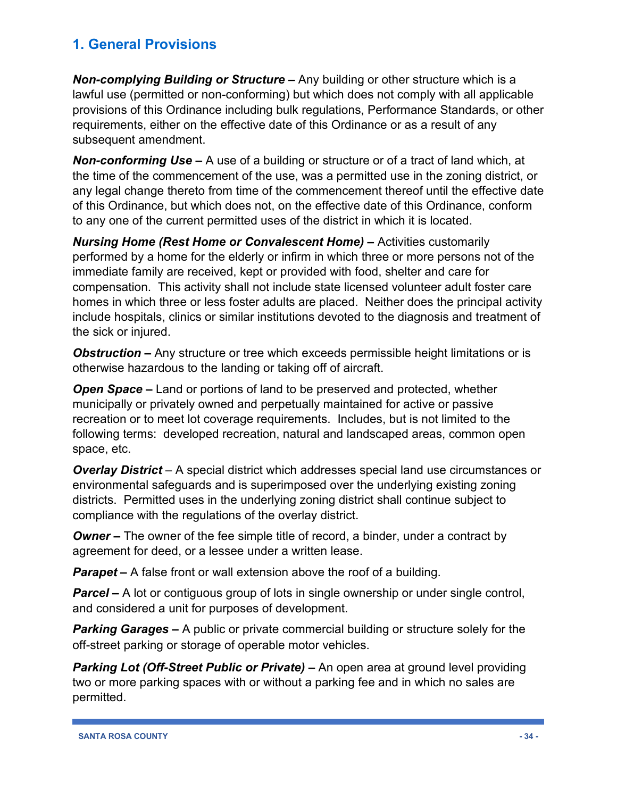*Non-complying Building or Structure –* Any building or other structure which is a lawful use (permitted or non-conforming) but which does not comply with all applicable provisions of this Ordinance including bulk regulations, Performance Standards, or other requirements, either on the effective date of this Ordinance or as a result of any subsequent amendment.

*Non-conforming Use –* A use of a building or structure or of a tract of land which, at the time of the commencement of the use, was a permitted use in the zoning district, or any legal change thereto from time of the commencement thereof until the effective date of this Ordinance, but which does not, on the effective date of this Ordinance, conform to any one of the current permitted uses of the district in which it is located.

*Nursing Home (Rest Home or Convalescent Home) –* Activities customarily performed by a home for the elderly or infirm in which three or more persons not of the immediate family are received, kept or provided with food, shelter and care for compensation. This activity shall not include state licensed volunteer adult foster care homes in which three or less foster adults are placed. Neither does the principal activity include hospitals, clinics or similar institutions devoted to the diagnosis and treatment of the sick or injured.

*Obstruction –* Any structure or tree which exceeds permissible height limitations or is otherwise hazardous to the landing or taking off of aircraft.

*Open Space –* Land or portions of land to be preserved and protected, whether municipally or privately owned and perpetually maintained for active or passive recreation or to meet lot coverage requirements. Includes, but is not limited to the following terms: developed recreation, natural and landscaped areas, common open space, etc.

*Overlay District* – A special district which addresses special land use circumstances or environmental safeguards and is superimposed over the underlying existing zoning districts. Permitted uses in the underlying zoning district shall continue subject to compliance with the regulations of the overlay district.

*Owner* – The owner of the fee simple title of record, a binder, under a contract by agreement for deed, or a lessee under a written lease.

*Parapet –* A false front or wall extension above the roof of a building.

*Parcel* – A lot or contiguous group of lots in single ownership or under single control, and considered a unit for purposes of development.

*Parking Garages –* A public or private commercial building or structure solely for the off-street parking or storage of operable motor vehicles.

*Parking Lot (Off-Street Public or Private) –* An open area at ground level providing two or more parking spaces with or without a parking fee and in which no sales are permitted.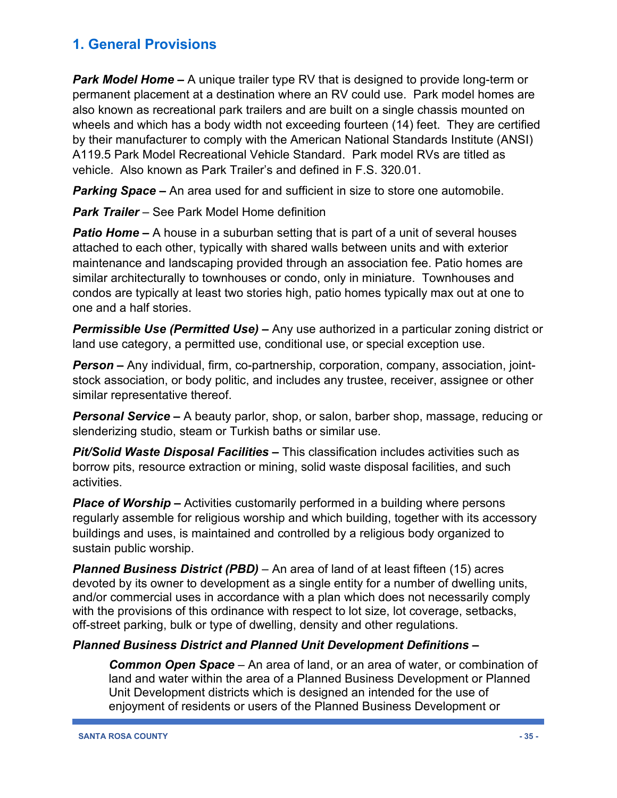*Park Model Home –* A unique trailer type RV that is designed to provide long-term or permanent placement at a destination where an RV could use. Park model homes are also known as recreational park trailers and are built on a single chassis mounted on wheels and which has a body width not exceeding fourteen (14) feet. They are certified by their manufacturer to comply with the American National Standards Institute (ANSI) A119.5 Park Model Recreational Vehicle Standard. Park model RVs are titled as vehicle. Also known as Park Trailer's and defined in F.S. 320.01.

*Parking Space –* An area used for and sufficient in size to store one automobile.

*Park Trailer –* See Park Model Home definition

**Patio Home –** A house in a suburban setting that is part of a unit of several houses attached to each other, typically with shared walls between units and with exterior maintenance and landscaping provided through an association fee. Patio homes are similar architecturally to townhouses or condo, only in miniature. Townhouses and condos are typically at least two stories high, patio homes typically max out at one to one and a half stories.

*Permissible Use (Permitted Use) –* Any use authorized in a particular zoning district or land use category, a permitted use, conditional use, or special exception use.

*Person –* Any individual, firm, co-partnership, corporation, company, association, jointstock association, or body politic, and includes any trustee, receiver, assignee or other similar representative thereof.

*Personal Service –* A beauty parlor, shop, or salon, barber shop, massage, reducing or slenderizing studio, steam or Turkish baths or similar use.

*Pit/Solid Waste Disposal Facilities –* This classification includes activities such as borrow pits, resource extraction or mining, solid waste disposal facilities, and such activities.

*Place of Worship –* Activities customarily performed in a building where persons regularly assemble for religious worship and which building, together with its accessory buildings and uses, is maintained and controlled by a religious body organized to sustain public worship.

*Planned Business District (PBD)* – An area of land of at least fifteen (15) acres devoted by its owner to development as a single entity for a number of dwelling units, and/or commercial uses in accordance with a plan which does not necessarily comply with the provisions of this ordinance with respect to lot size, lot coverage, setbacks, off-street parking, bulk or type of dwelling, density and other regulations.

#### *Planned Business District and Planned Unit Development Definitions –*

*Common Open Space* – An area of land, or an area of water, or combination of land and water within the area of a Planned Business Development or Planned Unit Development districts which is designed an intended for the use of enjoyment of residents or users of the Planned Business Development or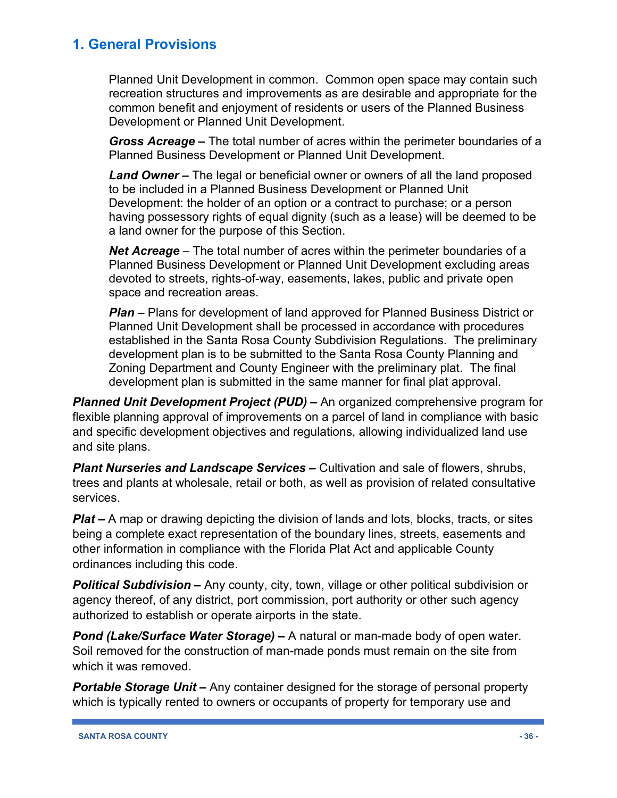Planned Unit Development in common. Common open space may contain such recreation structures and improvements as are desirable and appropriate for the common benefit and enjoyment of residents or users of the Planned Business Development or Planned Unit Development.

*Gross Acreage –* The total number of acres within the perimeter boundaries of a Planned Business Development or Planned Unit Development.

*Land Owner* **–** The legal or beneficial owner or owners of all the land proposed to be included in a Planned Business Development or Planned Unit Development: the holder of an option or a contract to purchase; or a person having possessory rights of equal dignity (such as a lease) will be deemed to be a land owner for the purpose of this Section.

*Net Acreage* – The total number of acres within the perimeter boundaries of a Planned Business Development or Planned Unit Development excluding areas devoted to streets, rights-of-way, easements, lakes, public and private open space and recreation areas.

*Plan* – Plans for development of land approved for Planned Business District or Planned Unit Development shall be processed in accordance with procedures established in the Santa Rosa County Subdivision Regulations. The preliminary development plan is to be submitted to the Santa Rosa County Planning and Zoning Department and County Engineer with the preliminary plat. The final development plan is submitted in the same manner for final plat approval.

*Planned Unit Development Project (PUD) –* An organized comprehensive program for flexible planning approval of improvements on a parcel of land in compliance with basic and specific development objectives and regulations, allowing individualized land use and site plans.

*Plant Nurseries and Landscape Services –* Cultivation and sale of flowers, shrubs, trees and plants at wholesale, retail or both, as well as provision of related consultative services.

*Plat* – A map or drawing depicting the division of lands and lots, blocks, tracts, or sites being a complete exact representation of the boundary lines, streets, easements and other information in compliance with the Florida Plat Act and applicable County ordinances including this code.

*Political Subdivision –* Any county, city, town, village or other political subdivision or agency thereof, of any district, port commission, port authority or other such agency authorized to establish or operate airports in the state.

*Pond (Lake/Surface Water Storage) –* A natural or man-made body of open water. Soil removed for the construction of man-made ponds must remain on the site from which it was removed.

*Portable Storage Unit –* Any container designed for the storage of personal property which is typically rented to owners or occupants of property for temporary use and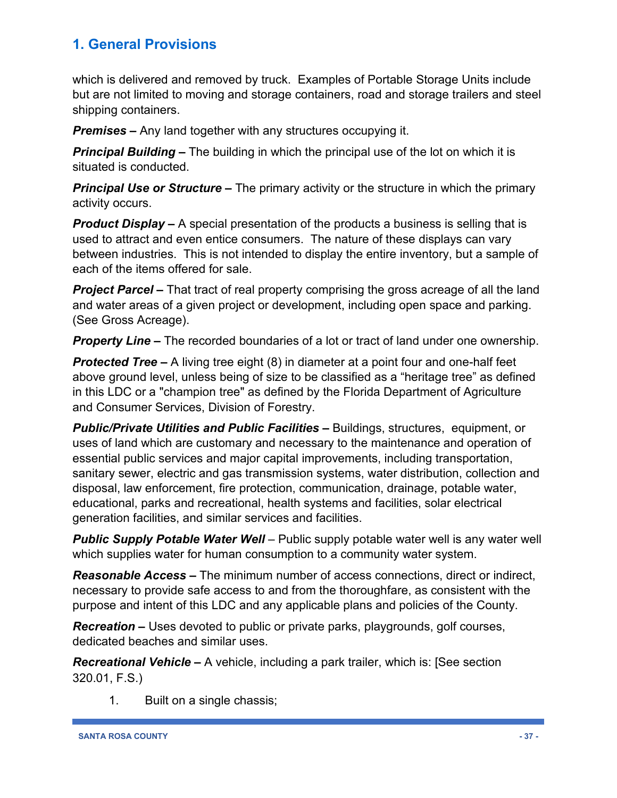which is delivered and removed by truck. Examples of Portable Storage Units include but are not limited to moving and storage containers, road and storage trailers and steel shipping containers.

*Premises –* Any land together with any structures occupying it.

*Principal Building –* The building in which the principal use of the lot on which it is situated is conducted.

**Principal Use or Structure –** The primary activity or the structure in which the primary activity occurs.

*Product Display –* A special presentation of the products a business is selling that is used to attract and even entice consumers. The nature of these displays can vary between industries. This is not intended to display the entire inventory, but a sample of each of the items offered for sale.

*Project Parcel –* That tract of real property comprising the gross acreage of all the land and water areas of a given project or development, including open space and parking. (See Gross Acreage).

*Property Line –* The recorded boundaries of a lot or tract of land under one ownership.

*Protected Tree –* A living tree eight (8) in diameter at a point four and one-half feet above ground level, unless being of size to be classified as a "heritage tree" as defined in this LDC or a "champion tree" as defined by the Florida Department of Agriculture and Consumer Services, Division of Forestry.

*Public/Private Utilities and Public Facilities –* Buildings, structures, equipment, or uses of land which are customary and necessary to the maintenance and operation of essential public services and major capital improvements, including transportation, sanitary sewer, electric and gas transmission systems, water distribution, collection and disposal, law enforcement, fire protection, communication, drainage, potable water, educational, parks and recreational, health systems and facilities, solar electrical generation facilities, and similar services and facilities.

*Public Supply Potable Water Well* – Public supply potable water well is any water well which supplies water for human consumption to a community water system.

*Reasonable Access –* The minimum number of access connections, direct or indirect, necessary to provide safe access to and from the thoroughfare, as consistent with the purpose and intent of this LDC and any applicable plans and policies of the County.

*Recreation –* Uses devoted to public or private parks, playgrounds, golf courses, dedicated beaches and similar uses.

*Recreational Vehicle –* A vehicle, including a park trailer, which is: [See section 320.01, F.S.)

1. Built on a single chassis;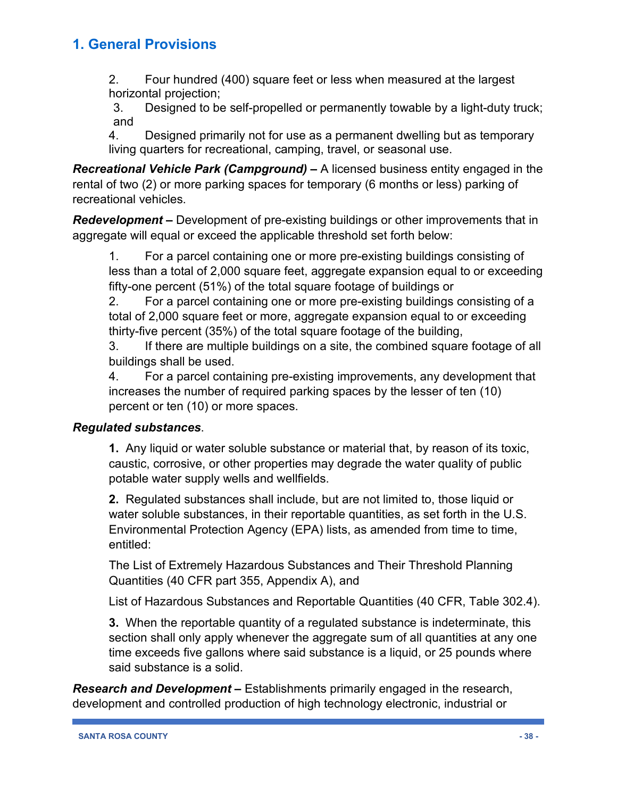2. Four hundred (400) square feet or less when measured at the largest horizontal projection;

3. Designed to be self-propelled or permanently towable by a light-duty truck; and

4. Designed primarily not for use as a permanent dwelling but as temporary living quarters for recreational, camping, travel, or seasonal use.

*Recreational Vehicle Park (Campground) –* A licensed business entity engaged in the rental of two (2) or more parking spaces for temporary (6 months or less) parking of recreational vehicles.

*Redevelopment –* Development of pre-existing buildings or other improvements that in aggregate will equal or exceed the applicable threshold set forth below:

1. For a parcel containing one or more pre-existing buildings consisting of less than a total of 2,000 square feet, aggregate expansion equal to or exceeding fifty-one percent (51%) of the total square footage of buildings or

2. For a parcel containing one or more pre-existing buildings consisting of a total of 2,000 square feet or more, aggregate expansion equal to or exceeding thirty-five percent (35%) of the total square footage of the building,

3. If there are multiple buildings on a site, the combined square footage of all buildings shall be used.

4. For a parcel containing pre-existing improvements, any development that increases the number of required parking spaces by the lesser of ten (10) percent or ten (10) or more spaces.

#### *Regulated substances*.

**1.** Any liquid or water soluble substance or material that, by reason of its toxic, caustic, corrosive, or other properties may degrade the water quality of public potable water supply wells and wellfields.

**2.** Regulated substances shall include, but are not limited to, those liquid or water soluble substances, in their reportable quantities, as set forth in the U.S. Environmental Protection Agency (EPA) lists, as amended from time to time, entitled:

The List of Extremely Hazardous Substances and Their Threshold Planning Quantities (40 CFR part 355, Appendix A), and

List of Hazardous Substances and Reportable Quantities (40 CFR, Table 302.4).

**3.** When the reportable quantity of a regulated substance is indeterminate, this section shall only apply whenever the aggregate sum of all quantities at any one time exceeds five gallons where said substance is a liquid, or 25 pounds where said substance is a solid.

*Research and Development –* Establishments primarily engaged in the research, development and controlled production of high technology electronic, industrial or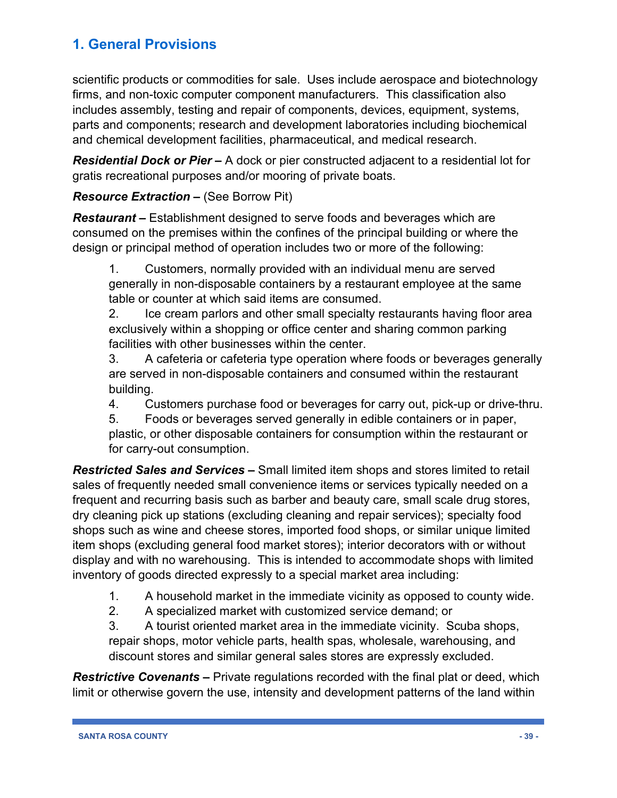scientific products or commodities for sale. Uses include aerospace and biotechnology firms, and non-toxic computer component manufacturers. This classification also includes assembly, testing and repair of components, devices, equipment, systems, parts and components; research and development laboratories including biochemical and chemical development facilities, pharmaceutical, and medical research.

*Residential Dock or Pier –* A dock or pier constructed adjacent to a residential lot for gratis recreational purposes and/or mooring of private boats.

#### *Resource Extraction –* (See Borrow Pit)

*Restaurant –* Establishment designed to serve foods and beverages which are consumed on the premises within the confines of the principal building or where the design or principal method of operation includes two or more of the following:

1. Customers, normally provided with an individual menu are served generally in non-disposable containers by a restaurant employee at the same table or counter at which said items are consumed.

2. Ice cream parlors and other small specialty restaurants having floor area exclusively within a shopping or office center and sharing common parking facilities with other businesses within the center.

3. A cafeteria or cafeteria type operation where foods or beverages generally are served in non-disposable containers and consumed within the restaurant building.

4. Customers purchase food or beverages for carry out, pick-up or drive-thru.

5. Foods or beverages served generally in edible containers or in paper, plastic, or other disposable containers for consumption within the restaurant or for carry-out consumption.

*Restricted Sales and Services –* Small limited item shops and stores limited to retail sales of frequently needed small convenience items or services typically needed on a frequent and recurring basis such as barber and beauty care, small scale drug stores, dry cleaning pick up stations (excluding cleaning and repair services); specialty food shops such as wine and cheese stores, imported food shops, or similar unique limited item shops (excluding general food market stores); interior decorators with or without display and with no warehousing. This is intended to accommodate shops with limited inventory of goods directed expressly to a special market area including:

- 1. A household market in the immediate vicinity as opposed to county wide.
- 2. A specialized market with customized service demand; or

3. A tourist oriented market area in the immediate vicinity. Scuba shops, repair shops, motor vehicle parts, health spas, wholesale, warehousing, and discount stores and similar general sales stores are expressly excluded.

*Restrictive Covenants –* Private regulations recorded with the final plat or deed, which limit or otherwise govern the use, intensity and development patterns of the land within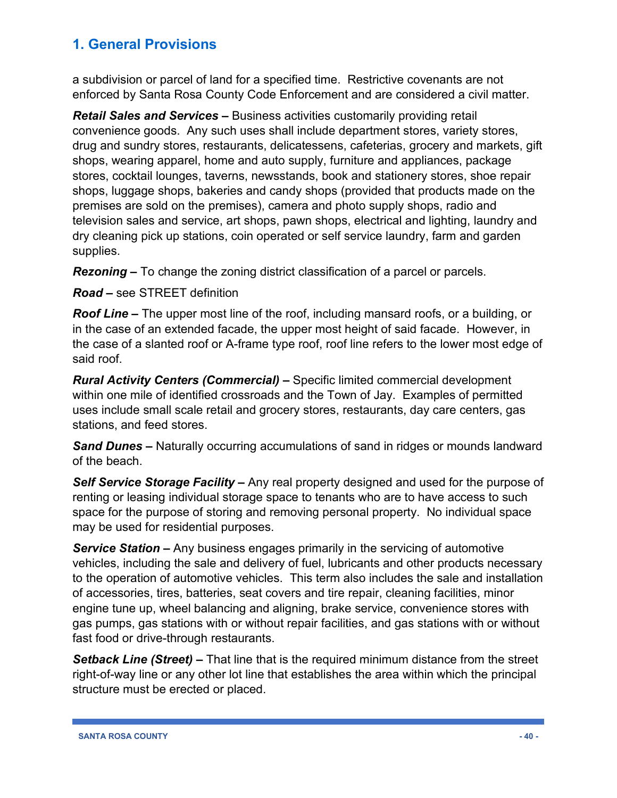a subdivision or parcel of land for a specified time. Restrictive covenants are not enforced by Santa Rosa County Code Enforcement and are considered a civil matter.

*Retail Sales and Services –* Business activities customarily providing retail convenience goods. Any such uses shall include department stores, variety stores, drug and sundry stores, restaurants, delicatessens, cafeterias, grocery and markets, gift shops, wearing apparel, home and auto supply, furniture and appliances, package stores, cocktail lounges, taverns, newsstands, book and stationery stores, shoe repair shops, luggage shops, bakeries and candy shops (provided that products made on the premises are sold on the premises), camera and photo supply shops, radio and television sales and service, art shops, pawn shops, electrical and lighting, laundry and dry cleaning pick up stations, coin operated or self service laundry, farm and garden supplies.

*Rezoning –* To change the zoning district classification of a parcel or parcels.

*Road –* see STREET definition

*Roof Line –* The upper most line of the roof, including mansard roofs, or a building, or in the case of an extended facade, the upper most height of said facade. However, in the case of a slanted roof or A-frame type roof, roof line refers to the lower most edge of said roof.

*Rural Activity Centers (Commercial) –* Specific limited commercial development within one mile of identified crossroads and the Town of Jay. Examples of permitted uses include small scale retail and grocery stores, restaurants, day care centers, gas stations, and feed stores.

*Sand Dunes –* Naturally occurring accumulations of sand in ridges or mounds landward of the beach.

*Self Service Storage Facility –* Any real property designed and used for the purpose of renting or leasing individual storage space to tenants who are to have access to such space for the purpose of storing and removing personal property. No individual space may be used for residential purposes.

*Service Station –* Any business engages primarily in the servicing of automotive vehicles, including the sale and delivery of fuel, lubricants and other products necessary to the operation of automotive vehicles. This term also includes the sale and installation of accessories, tires, batteries, seat covers and tire repair, cleaning facilities, minor engine tune up, wheel balancing and aligning, brake service, convenience stores with gas pumps, gas stations with or without repair facilities, and gas stations with or without fast food or drive-through restaurants.

*Setback Line (Street) –* That line that is the required minimum distance from the street right-of-way line or any other lot line that establishes the area within which the principal structure must be erected or placed.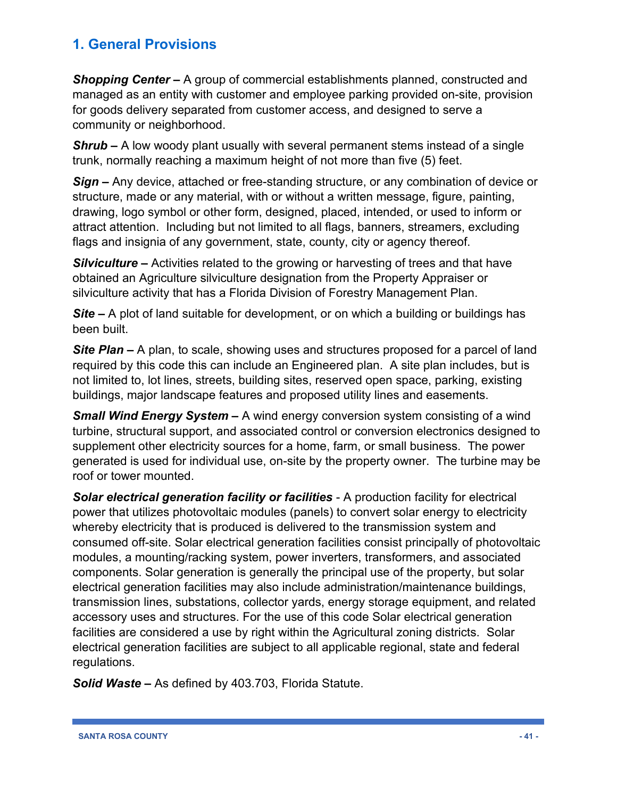*Shopping Center –* A group of commercial establishments planned, constructed and managed as an entity with customer and employee parking provided on-site, provision for goods delivery separated from customer access, and designed to serve a community or neighborhood.

*Shrub –* A low woody plant usually with several permanent stems instead of a single trunk, normally reaching a maximum height of not more than five (5) feet.

*Sign –* Any device, attached or free-standing structure, or any combination of device or structure, made or any material, with or without a written message, figure, painting, drawing, logo symbol or other form, designed, placed, intended, or used to inform or attract attention. Including but not limited to all flags, banners, streamers, excluding flags and insignia of any government, state, county, city or agency thereof.

*Silviculture –* Activities related to the growing or harvesting of trees and that have obtained an Agriculture silviculture designation from the Property Appraiser or silviculture activity that has a Florida Division of Forestry Management Plan.

*Site –* A plot of land suitable for development, or on which a building or buildings has been built.

**Site Plan –** A plan, to scale, showing uses and structures proposed for a parcel of land required by this code this can include an Engineered plan. A site plan includes, but is not limited to, lot lines, streets, building sites, reserved open space, parking, existing buildings, major landscape features and proposed utility lines and easements.

*Small Wind Energy System –* A wind energy conversion system consisting of a wind turbine, structural support, and associated control or conversion electronics designed to supplement other electricity sources for a home, farm, or small business. The power generated is used for individual use, on-site by the property owner. The turbine may be roof or tower mounted.

*Solar electrical generation facility or facilities* - A production facility for electrical power that utilizes photovoltaic modules (panels) to convert solar energy to electricity whereby electricity that is produced is delivered to the transmission system and consumed off-site. Solar electrical generation facilities consist principally of photovoltaic modules, a mounting/racking system, power inverters, transformers, and associated components. Solar generation is generally the principal use of the property, but solar electrical generation facilities may also include administration/maintenance buildings, transmission lines, substations, collector yards, energy storage equipment, and related accessory uses and structures. For the use of this code Solar electrical generation facilities are considered a use by right within the Agricultural zoning districts. Solar electrical generation facilities are subject to all applicable regional, state and federal regulations.

*Solid Waste –* As defined by 403.703, Florida Statute.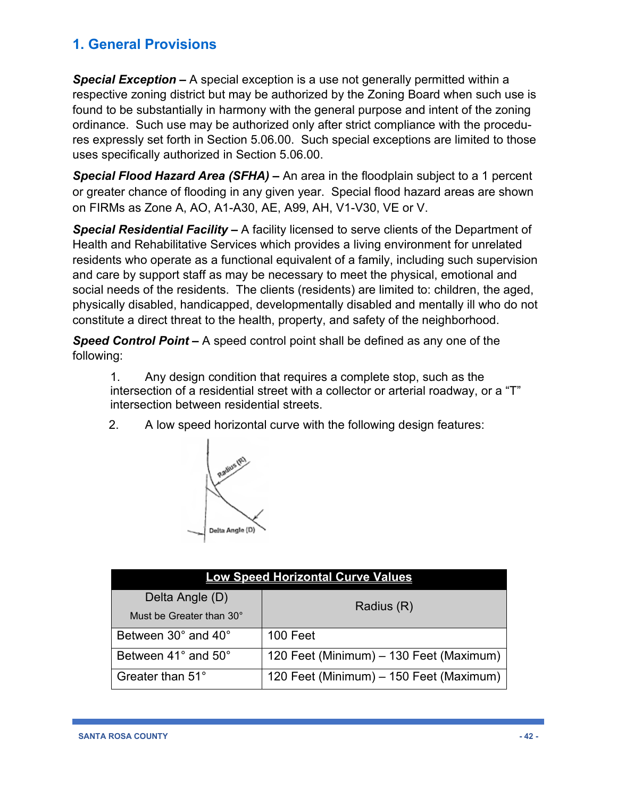*Special Exception –* A special exception is a use not generally permitted within a respective zoning district but may be authorized by the Zoning Board when such use is found to be substantially in harmony with the general purpose and intent of the zoning ordinance. Such use may be authorized only after strict compliance with the procedures expressly set forth in Section 5.06.00. Such special exceptions are limited to those uses specifically authorized in Section 5.06.00.

*Special Flood Hazard Area (SFHA) –* An area in the floodplain subject to a 1 percent or greater chance of flooding in any given year. Special flood hazard areas are shown on FIRMs as Zone A, AO, A1-A30, AE, A99, AH, V1-V30, VE or V.

*Special Residential Facility –* A facility licensed to serve clients of the Department of Health and Rehabilitative Services which provides a living environment for unrelated residents who operate as a functional equivalent of a family, including such supervision and care by support staff as may be necessary to meet the physical, emotional and social needs of the residents. The clients (residents) are limited to: children, the aged, physically disabled, handicapped, developmentally disabled and mentally ill who do not constitute a direct threat to the health, property, and safety of the neighborhood.

*Speed Control Point –* A speed control point shall be defined as any one of the following:

1. Any design condition that requires a complete stop, such as the intersection of a residential street with a collector or arterial roadway, or a "T" intersection between residential streets.

2. A low speed horizontal curve with the following design features:



| <b>Low Speed Horizontal Curve Values</b> |                                         |  |  |
|------------------------------------------|-----------------------------------------|--|--|
| Delta Angle (D)                          | Radius (R)                              |  |  |
| Must be Greater than 30°                 |                                         |  |  |
| Between 30° and 40°                      | 100 Feet                                |  |  |
| Between 41° and 50°                      | 120 Feet (Minimum) - 130 Feet (Maximum) |  |  |
| Greater than 51°                         | 120 Feet (Minimum) – 150 Feet (Maximum) |  |  |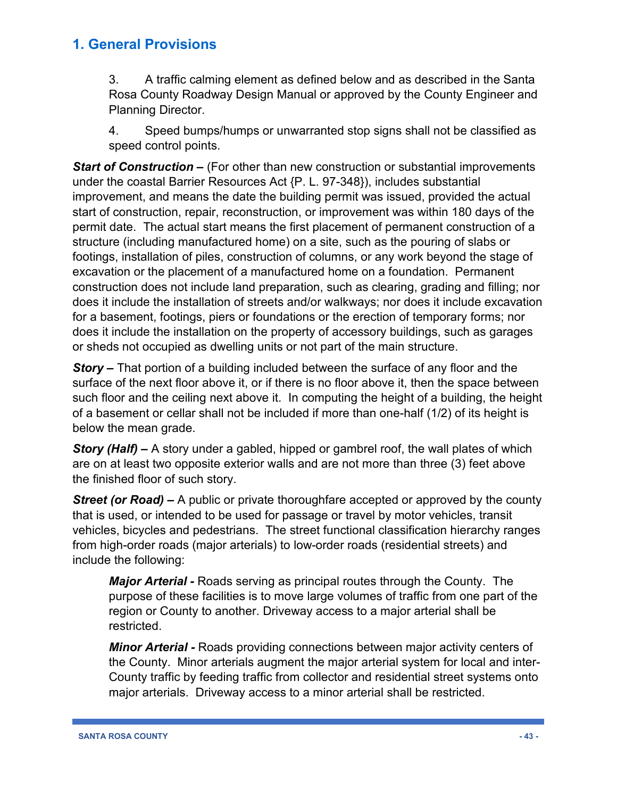3. A traffic calming element as defined below and as described in the Santa Rosa County Roadway Design Manual or approved by the County Engineer and Planning Director.

4. Speed bumps/humps or unwarranted stop signs shall not be classified as speed control points.

*Start of Construction –* (For other than new construction or substantial improvements under the coastal Barrier Resources Act {P. L. 97-348}), includes substantial improvement, and means the date the building permit was issued, provided the actual start of construction, repair, reconstruction, or improvement was within 180 days of the permit date. The actual start means the first placement of permanent construction of a structure (including manufactured home) on a site, such as the pouring of slabs or footings, installation of piles, construction of columns, or any work beyond the stage of excavation or the placement of a manufactured home on a foundation. Permanent construction does not include land preparation, such as clearing, grading and filling; nor does it include the installation of streets and/or walkways; nor does it include excavation for a basement, footings, piers or foundations or the erection of temporary forms; nor does it include the installation on the property of accessory buildings, such as garages or sheds not occupied as dwelling units or not part of the main structure.

*Story –* That portion of a building included between the surface of any floor and the surface of the next floor above it, or if there is no floor above it, then the space between such floor and the ceiling next above it. In computing the height of a building, the height of a basement or cellar shall not be included if more than one-half (1/2) of its height is below the mean grade.

*Story (Half) –* A story under a gabled, hipped or gambrel roof, the wall plates of which are on at least two opposite exterior walls and are not more than three (3) feet above the finished floor of such story.

*Street (or Road)* – A public or private thoroughfare accepted or approved by the county that is used, or intended to be used for passage or travel by motor vehicles, transit vehicles, bicycles and pedestrians. The street functional classification hierarchy ranges from high-order roads (major arterials) to low-order roads (residential streets) and include the following:

*Major Arterial -* Roads serving as principal routes through the County. The purpose of these facilities is to move large volumes of traffic from one part of the region or County to another. Driveway access to a major arterial shall be restricted.

*Minor Arterial -* Roads providing connections between major activity centers of the County. Minor arterials augment the major arterial system for local and inter-County traffic by feeding traffic from collector and residential street systems onto major arterials. Driveway access to a minor arterial shall be restricted.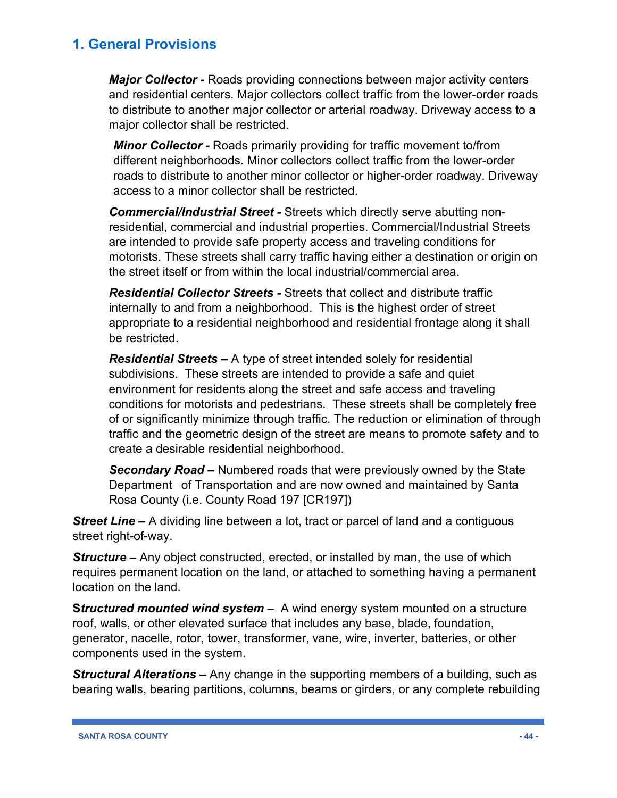*Major Collector -* Roads providing connections between major activity centers and residential centers. Major collectors collect traffic from the lower-order roads to distribute to another major collector or arterial roadway. Driveway access to a major collector shall be restricted.

*Minor Collector -* Roads primarily providing for traffic movement to/from different neighborhoods. Minor collectors collect traffic from the lower-order roads to distribute to another minor collector or higher-order roadway. Driveway access to a minor collector shall be restricted.

*Commercial/Industrial Street -* Streets which directly serve abutting nonresidential, commercial and industrial properties. Commercial/Industrial Streets are intended to provide safe property access and traveling conditions for motorists. These streets shall carry traffic having either a destination or origin on the street itself or from within the local industrial/commercial area.

*Residential Collector Streets -* Streets that collect and distribute traffic internally to and from a neighborhood. This is the highest order of street appropriate to a residential neighborhood and residential frontage along it shall be restricted.

*Residential Streets –* A type of street intended solely for residential subdivisions. These streets are intended to provide a safe and quiet environment for residents along the street and safe access and traveling conditions for motorists and pedestrians. These streets shall be completely free of or significantly minimize through traffic. The reduction or elimination of through traffic and the geometric design of the street are means to promote safety and to create a desirable residential neighborhood.

*Secondary Road –* Numbered roads that were previously owned by the State Department of Transportation and are now owned and maintained by Santa Rosa County (i.e. County Road 197 [CR197])

**Street Line –** A dividing line between a lot, tract or parcel of land and a contiguous street right-of-way.

**Structure** – Any object constructed, erected, or installed by man, the use of which requires permanent location on the land, or attached to something having a permanent location on the land.

**S***tructured mounted wind system* – A wind energy system mounted on a structure roof, walls, or other elevated surface that includes any base, blade, foundation, generator, nacelle, rotor, tower, transformer, vane, wire, inverter, batteries, or other components used in the system.

*Structural Alterations –* Any change in the supporting members of a building, such as bearing walls, bearing partitions, columns, beams or girders, or any complete rebuilding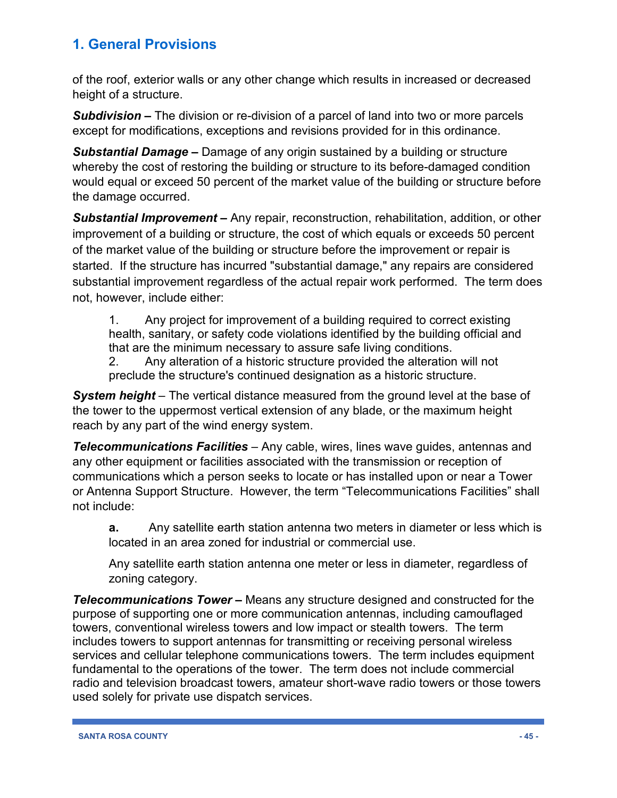of the roof, exterior walls or any other change which results in increased or decreased height of a structure.

*Subdivision –* The division or re-division of a parcel of land into two or more parcels except for modifications, exceptions and revisions provided for in this ordinance.

*Substantial Damage –* Damage of any origin sustained by a building or structure whereby the cost of restoring the building or structure to its before-damaged condition would equal or exceed 50 percent of the market value of the building or structure before the damage occurred.

*Substantial Improvement –* Any repair, reconstruction, rehabilitation, addition, or other improvement of a building or structure, the cost of which equals or exceeds 50 percent of the market value of the building or structure before the improvement or repair is started. If the structure has incurred "substantial damage," any repairs are considered substantial improvement regardless of the actual repair work performed. The term does not, however, include either:

1. Any project for improvement of a building required to correct existing health, sanitary, or safety code violations identified by the building official and that are the minimum necessary to assure safe living conditions.

2. Any alteration of a historic structure provided the alteration will not preclude the structure's continued designation as a historic structure.

*System height* – The vertical distance measured from the ground level at the base of the tower to the uppermost vertical extension of any blade, or the maximum height reach by any part of the wind energy system.

*Telecommunications Facilities* – Any cable, wires, lines wave guides, antennas and any other equipment or facilities associated with the transmission or reception of communications which a person seeks to locate or has installed upon or near a Tower or Antenna Support Structure. However, the term "Telecommunications Facilities" shall not include:

**a.** Any satellite earth station antenna two meters in diameter or less which is located in an area zoned for industrial or commercial use.

Any satellite earth station antenna one meter or less in diameter, regardless of zoning category.

*Telecommunications Tower –* Means any structure designed and constructed for the purpose of supporting one or more communication antennas, including camouflaged towers, conventional wireless towers and low impact or stealth towers. The term includes towers to support antennas for transmitting or receiving personal wireless services and cellular telephone communications towers. The term includes equipment fundamental to the operations of the tower. The term does not include commercial radio and television broadcast towers, amateur short-wave radio towers or those towers used solely for private use dispatch services.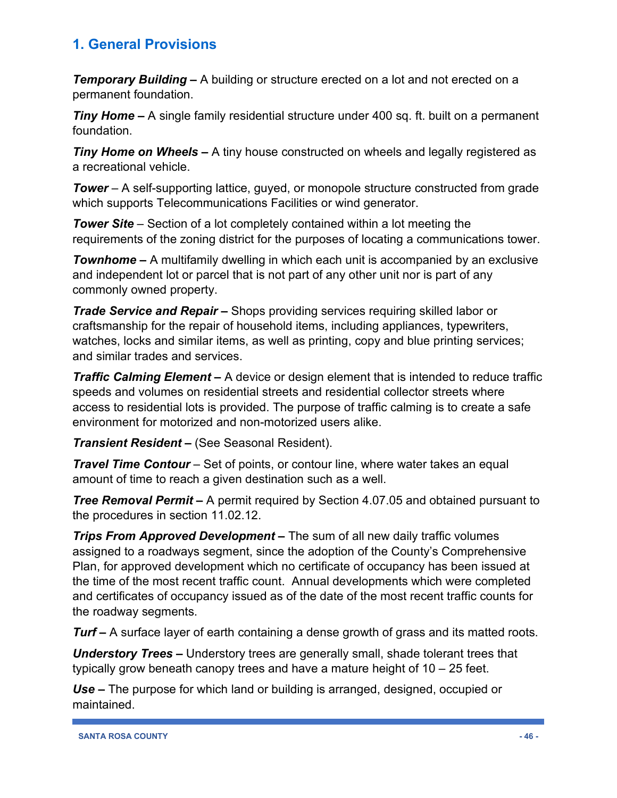*Temporary Building –* A building or structure erected on a lot and not erected on a permanent foundation.

**Tiny Home –** A single family residential structure under 400 sq. ft. built on a permanent foundation.

*Tiny Home on Wheels –* A tiny house constructed on wheels and legally registered as a recreational vehicle.

*Tower* – A self-supporting lattice, guyed, or monopole structure constructed from grade which supports Telecommunications Facilities or wind generator.

*Tower Site* – Section of a lot completely contained within a lot meeting the requirements of the zoning district for the purposes of locating a communications tower.

**Townhome –** A multifamily dwelling in which each unit is accompanied by an exclusive and independent lot or parcel that is not part of any other unit nor is part of any commonly owned property.

*Trade Service and Repair –* Shops providing services requiring skilled labor or craftsmanship for the repair of household items, including appliances, typewriters, watches, locks and similar items, as well as printing, copy and blue printing services; and similar trades and services.

*Traffic Calming Element –* A device or design element that is intended to reduce traffic speeds and volumes on residential streets and residential collector streets where access to residential lots is provided. The purpose of traffic calming is to create a safe environment for motorized and non-motorized users alike.

*Transient Resident –* (See Seasonal Resident).

*Travel Time Contour* – Set of points, or contour line, where water takes an equal amount of time to reach a given destination such as a well.

*Tree Removal Permit –* A permit required by Section 4.07.05 and obtained pursuant to the procedures in section 11.02.12.

*Trips From Approved Development –* The sum of all new daily traffic volumes assigned to a roadways segment, since the adoption of the County's Comprehensive Plan, for approved development which no certificate of occupancy has been issued at the time of the most recent traffic count. Annual developments which were completed and certificates of occupancy issued as of the date of the most recent traffic counts for the roadway segments.

*Turf –* A surface layer of earth containing a dense growth of grass and its matted roots.

*Understory Trees –* Understory trees are generally small, shade tolerant trees that typically grow beneath canopy trees and have a mature height of 10 – 25 feet.

*Use –* The purpose for which land or building is arranged, designed, occupied or maintained.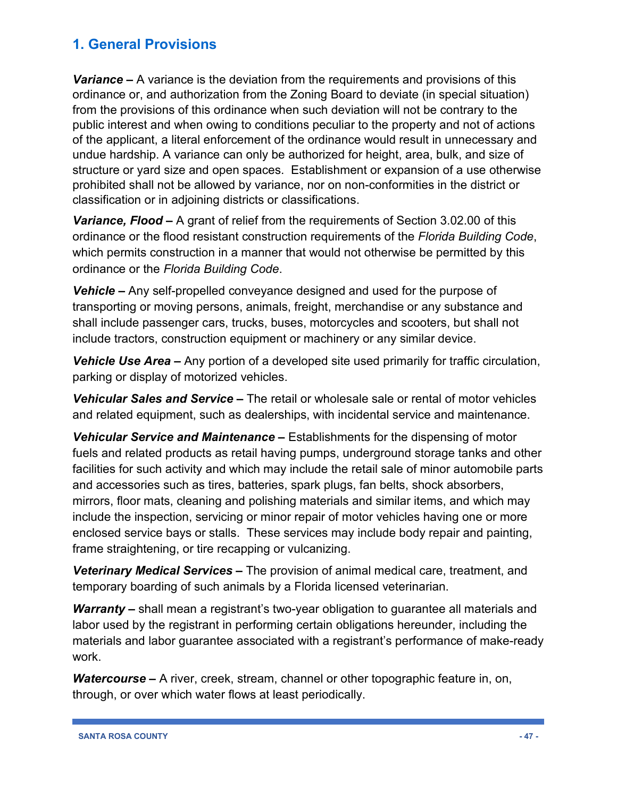*Variance –* A variance is the deviation from the requirements and provisions of this ordinance or, and authorization from the Zoning Board to deviate (in special situation) from the provisions of this ordinance when such deviation will not be contrary to the public interest and when owing to conditions peculiar to the property and not of actions of the applicant, a literal enforcement of the ordinance would result in unnecessary and undue hardship. A variance can only be authorized for height, area, bulk, and size of structure or yard size and open spaces. Establishment or expansion of a use otherwise prohibited shall not be allowed by variance, nor on non-conformities in the district or classification or in adjoining districts or classifications.

*Variance, Flood –* A grant of relief from the requirements of Section 3.02.00 of this ordinance or the flood resistant construction requirements of the *Florida Building Code*, which permits construction in a manner that would not otherwise be permitted by this ordinance or the *Florida Building Code*.

*Vehicle –* Any self-propelled conveyance designed and used for the purpose of transporting or moving persons, animals, freight, merchandise or any substance and shall include passenger cars, trucks, buses, motorcycles and scooters, but shall not include tractors, construction equipment or machinery or any similar device.

*Vehicle Use Area –* Any portion of a developed site used primarily for traffic circulation, parking or display of motorized vehicles.

*Vehicular Sales and Service –* The retail or wholesale sale or rental of motor vehicles and related equipment, such as dealerships, with incidental service and maintenance.

*Vehicular Service and Maintenance –* Establishments for the dispensing of motor fuels and related products as retail having pumps, underground storage tanks and other facilities for such activity and which may include the retail sale of minor automobile parts and accessories such as tires, batteries, spark plugs, fan belts, shock absorbers, mirrors, floor mats, cleaning and polishing materials and similar items, and which may include the inspection, servicing or minor repair of motor vehicles having one or more enclosed service bays or stalls. These services may include body repair and painting, frame straightening, or tire recapping or vulcanizing.

*Veterinary Medical Services –* The provision of animal medical care, treatment, and temporary boarding of such animals by a Florida licensed veterinarian.

*Warranty –* shall mean a registrant's two-year obligation to guarantee all materials and labor used by the registrant in performing certain obligations hereunder, including the materials and labor guarantee associated with a registrant's performance of make-ready work.

*Watercourse –* A river, creek, stream, channel or other topographic feature in, on, through, or over which water flows at least periodically.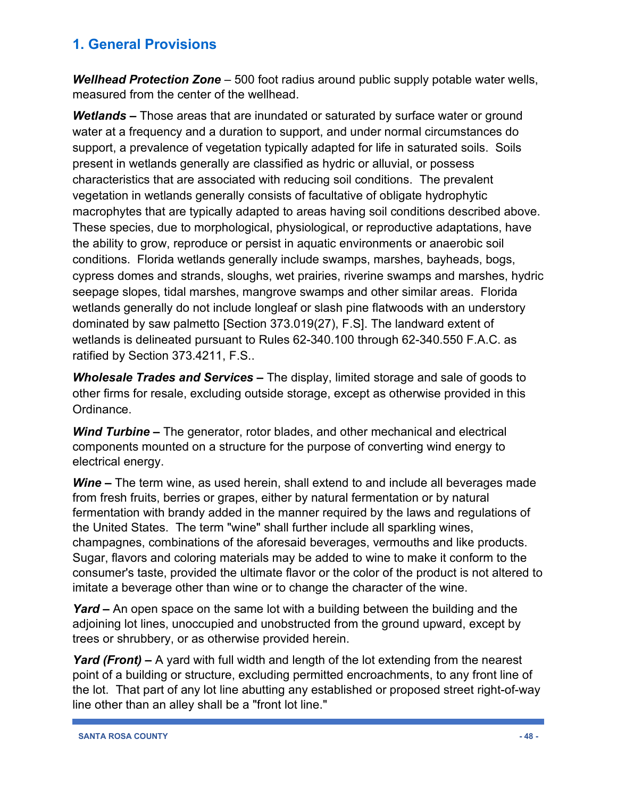*Wellhead Protection Zone* – 500 foot radius around public supply potable water wells, measured from the center of the wellhead.

*Wetlands –* Those areas that are inundated or saturated by surface water or ground water at a frequency and a duration to support, and under normal circumstances do support, a prevalence of vegetation typically adapted for life in saturated soils. Soils present in wetlands generally are classified as hydric or alluvial, or possess characteristics that are associated with reducing soil conditions. The prevalent vegetation in wetlands generally consists of facultative of obligate hydrophytic macrophytes that are typically adapted to areas having soil conditions described above. These species, due to morphological, physiological, or reproductive adaptations, have the ability to grow, reproduce or persist in aquatic environments or anaerobic soil conditions. Florida wetlands generally include swamps, marshes, bayheads, bogs, cypress domes and strands, sloughs, wet prairies, riverine swamps and marshes, hydric seepage slopes, tidal marshes, mangrove swamps and other similar areas. Florida wetlands generally do not include longleaf or slash pine flatwoods with an understory dominated by saw palmetto [Section 373.019(27), F.S]. The landward extent of wetlands is delineated pursuant to Rules 62-340.100 through 62-340.550 F.A.C. as ratified by Section 373.4211, F.S..

*Wholesale Trades and Services –* The display, limited storage and sale of goods to other firms for resale, excluding outside storage, except as otherwise provided in this Ordinance.

*Wind Turbine –* The generator, rotor blades, and other mechanical and electrical components mounted on a structure for the purpose of converting wind energy to electrical energy.

*Wine –* The term wine, as used herein, shall extend to and include all beverages made from fresh fruits, berries or grapes, either by natural fermentation or by natural fermentation with brandy added in the manner required by the laws and regulations of the United States. The term "wine" shall further include all sparkling wines, champagnes, combinations of the aforesaid beverages, vermouths and like products. Sugar, flavors and coloring materials may be added to wine to make it conform to the consumer's taste, provided the ultimate flavor or the color of the product is not altered to imitate a beverage other than wine or to change the character of the wine.

*Yard –* An open space on the same lot with a building between the building and the adjoining lot lines, unoccupied and unobstructed from the ground upward, except by trees or shrubbery, or as otherwise provided herein.

*Yard (Front) –* A yard with full width and length of the lot extending from the nearest point of a building or structure, excluding permitted encroachments, to any front line of the lot. That part of any lot line abutting any established or proposed street right-of-way line other than an alley shall be a "front lot line."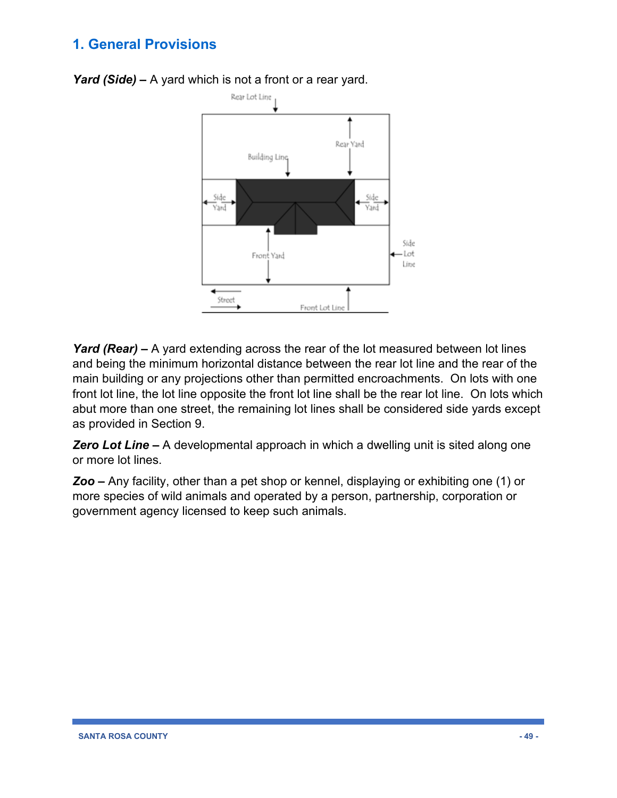

*Yard (Side) –* A yard which is not a front or a rear yard.

*Yard (Rear) –* A yard extending across the rear of the lot measured between lot lines and being the minimum horizontal distance between the rear lot line and the rear of the main building or any projections other than permitted encroachments. On lots with one front lot line, the lot line opposite the front lot line shall be the rear lot line. On lots which abut more than one street, the remaining lot lines shall be considered side yards except as provided in Section 9.

*Zero Lot Line –* A developmental approach in which a dwelling unit is sited along one or more lot lines.

*Zoo –* Any facility, other than a pet shop or kennel, displaying or exhibiting one (1) or more species of wild animals and operated by a person, partnership, corporation or government agency licensed to keep such animals.